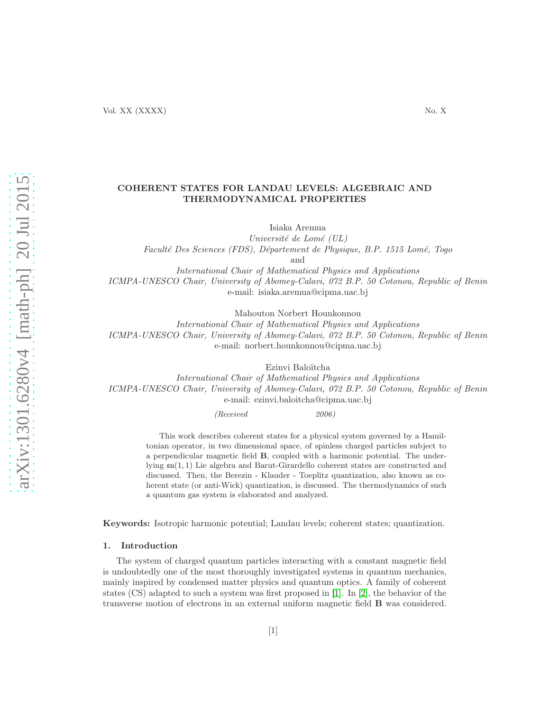# COHERENT STATES FOR LANDAU LEVELS: ALGEBRAIC AND THERMODYNAMICAL PROPERTIES

Isiaka Aremua

Université de Lomé  $(UL)$ Faculté Des Sciences (FDS), Département de Physique, B.P. 1515 Lomé, Togo and International Chair of Mathematical Physics and Applications ICMPA-UNESCO Chair, University of Abomey-Calavi, 072 B.P. 50 Cotonou, Republic of Benin e-mail: isiaka.aremua@cipma.uac.bj

Mahouton Norbert Hounkonnou

International Chair of Mathematical Physics and Applications ICMPA-UNESCO Chair, University of Abomey-Calavi, 072 B.P. 50 Cotonou, Republic of Benin e-mail: norbert.hounkonnou@cipma.uac.bj

Ezinvi Baloïtcha

International Chair of Mathematical Physics and Applications ICMPA-UNESCO Chair, University of Abomey-Calavi, 072 B.P. 50 Cotonou, Republic of Benin e-mail: ezinvi.baloitcha@cipma.uac.bj

*(Received 2006)*

This work describes coherent states for a physical system governed by a Hamiltonian operator, in two dimensional space, of spinless charged particles subject to a perpendicular magnetic field B, coupled with a harmonic potential. The underlying su(1, 1) Lie algebra and Barut-Girardello coherent states are constructed and discussed. Then, the Berezin - Klauder - Toeplitz quantization, also known as coherent state (or anti-Wick) quantization, is discussed. The thermodynamics of such a quantum gas system is elaborated and analyzed.

Keywords: Isotropic harmonic potential; Landau levels; coherent states; quantization.

#### 1. Introduction

The system of charged quantum particles interacting with a constant magnetic field is undoubtedly one of the most thoroughly investigated systems in quantum mechanics, mainly inspired by condensed matter physics and quantum optics. A family of coherent states (CS) adapted to such a system was first proposed in [\[1\]](#page-23-0). In [\[2\]](#page-23-1), the behavior of the transverse motion of electrons in an external uniform magnetic field B was considered.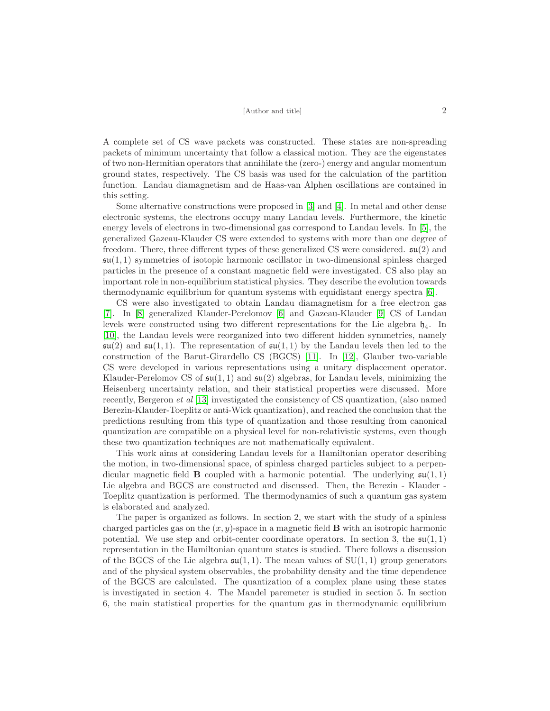A complete set of CS wave packets was constructed. These states are non-spreading packets of minimum uncertainty that follow a classical motion. They are the eigenstates of two non-Hermitian operators that annihilate the (zero-) energy and angular momentum ground states, respectively. The CS basis was used for the calculation of the partition function. Landau diamagnetism and de Haas-van Alphen oscillations are contained in this setting.

Some alternative constructions were proposed in [\[3\]](#page-23-2) and [\[4\]](#page-23-3). In metal and other dense electronic systems, the electrons occupy many Landau levels. Furthermore, the kinetic energy levels of electrons in two-dimensional gas correspond to Landau levels. In [\[5\]](#page-23-4), the generalized Gazeau-Klauder CS were extended to systems with more than one degree of freedom. There, three different types of these generalized CS were considered.  $\mathfrak{su}(2)$  and  $\mathfrak{su}(1,1)$  symmetries of isotopic harmonic oscillator in two-dimensional spinless charged particles in the presence of a constant magnetic field were investigated. CS also play an important role in non-equilibrium statistical physics. They describe the evolution towards thermodynamic equilibrium for quantum systems with equidistant energy spectra [\[6\]](#page-23-5).

CS were also investigated to obtain Landau diamagnetism for a free electron gas [\[7\]](#page-23-6). In [\[8\]](#page-23-7) generalized Klauder-Perelomov [\[6\]](#page-23-5) and Gazeau-Klauder [\[9\]](#page-23-8) CS of Landau levels were constructed using two different representations for the Lie algebra  $\mathfrak{h}_4$ . In [\[10\]](#page-23-9), the Landau levels were reorganized into two different hidden symmetries, namely  $\mathfrak{su}(2)$  and  $\mathfrak{su}(1,1)$ . The representation of  $\mathfrak{su}(1,1)$  by the Landau levels then led to the construction of the Barut-Girardello CS (BGCS) [\[11\]](#page-23-10). In [\[12\]](#page-23-11), Glauber two-variable CS were developed in various representations using a unitary displacement operator. Klauder-Perelomov CS of  $\mathfrak{su}(1,1)$  and  $\mathfrak{su}(2)$  algebras, for Landau levels, minimizing the Heisenberg uncertainty relation, and their statistical properties were discussed. More recently, Bergeron et al [\[13\]](#page-23-12) investigated the consistency of CS quantization, (also named Berezin-Klauder-Toeplitz or anti-Wick quantization), and reached the conclusion that the predictions resulting from this type of quantization and those resulting from canonical quantization are compatible on a physical level for non-relativistic systems, even though these two quantization techniques are not mathematically equivalent.

This work aims at considering Landau levels for a Hamiltonian operator describing the motion, in two-dimensional space, of spinless charged particles subject to a perpendicular magnetic field **B** coupled with a harmonic potential. The underlying  $\mathfrak{su}(1,1)$ Lie algebra and BGCS are constructed and discussed. Then, the Berezin - Klauder - Toeplitz quantization is performed. The thermodynamics of such a quantum gas system is elaborated and analyzed.

The paper is organized as follows. In section 2, we start with the study of a spinless charged particles gas on the  $(x, y)$ -space in a magnetic field **B** with an isotropic harmonic potential. We use step and orbit-center coordinate operators. In section 3, the  $\mathfrak{su}(1,1)$ representation in the Hamiltonian quantum states is studied. There follows a discussion of the BGCS of the Lie algebra  $\mathfrak{su}(1,1)$ . The mean values of  $SU(1,1)$  group generators and of the physical system observables, the probability density and the time dependence of the BGCS are calculated. The quantization of a complex plane using these states is investigated in section 4. The Mandel paremeter is studied in section 5. In section 6, the main statistical properties for the quantum gas in thermodynamic equilibrium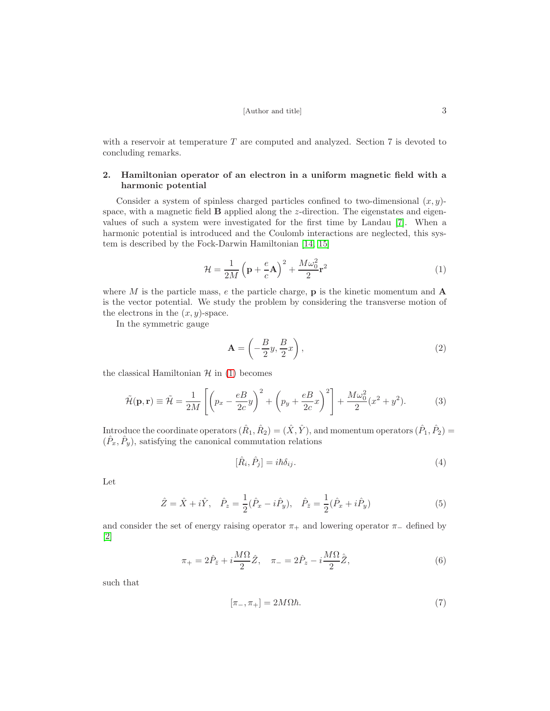with a reservoir at temperature  $T$  are computed and analyzed. Section  $7$  is devoted to concluding remarks.

# 2. Hamiltonian operator of an electron in a uniform magnetic field with a harmonic potential

Consider a system of spinless charged particles confined to two-dimensional  $(x, y)$ space, with a magnetic field  $\bf{B}$  applied along the *z*-direction. The eigenstates and eigenvalues of such a system were investigated for the first time by Landau [\[7\]](#page-23-6). When a harmonic potential is introduced and the Coulomb interactions are neglected, this system is described by the Fock-Darwin Hamiltonian [\[14,](#page-23-13) [15\]](#page-23-14)

<span id="page-2-0"></span>
$$
\mathcal{H} = \frac{1}{2M} \left( \mathbf{p} + \frac{e}{c} \mathbf{A} \right)^2 + \frac{M \omega_0^2}{2} \mathbf{r}^2 \tag{1}
$$

where M is the particle mass, e the particle charge,  $\bf{p}$  is the kinetic momentum and  $\bf{A}$ is the vector potential. We study the problem by considering the transverse motion of the electrons in the  $(x, y)$ -space.

In the symmetric gauge

$$
\mathbf{A} = \left(-\frac{B}{2}y, \frac{B}{2}x\right),\tag{2}
$$

the classical Hamiltonian  $\mathcal{H}$  in [\(1\)](#page-2-0) becomes

<span id="page-2-1"></span>
$$
\tilde{\mathcal{H}}(\mathbf{p}, \mathbf{r}) \equiv \tilde{\mathcal{H}} = \frac{1}{2M} \left[ \left( p_x - \frac{eB}{2c} y \right)^2 + \left( p_y + \frac{eB}{2c} x \right)^2 \right] + \frac{M \omega_0^2}{2} (x^2 + y^2). \tag{3}
$$

Introduce the coordinate operators  $(\hat{R}_1, \hat{R}_2) = (\hat{X}, \hat{Y})$ , and momentum operators  $(\hat{P}_1, \hat{P}_2) =$  $(\hat{P}_x, \hat{P}_y)$ , satisfying the canonical commutation relations

$$
[\hat{R}_i, \hat{P}_j] = i\hbar \delta_{ij}.
$$
\n(4)

Let

$$
\hat{Z} = \hat{X} + i\hat{Y}, \quad \hat{P}_z = \frac{1}{2}(\hat{P}_x - i\hat{P}_y), \quad \hat{P}_{\bar{z}} = \frac{1}{2}(\hat{P}_x + i\hat{P}_y)
$$
(5)

and consider the set of energy raising operator  $\pi_+$  and lowering operator  $\pi_-$  defined by [\[2\]](#page-23-1)

<span id="page-2-2"></span>
$$
\pi_{+} = 2\hat{P}_{\bar{z}} + i\frac{M\Omega}{2}\hat{Z}, \quad \pi_{-} = 2\hat{P}_{z} - i\frac{M\Omega}{2}\hat{\bar{Z}},\tag{6}
$$

such that

$$
[\pi_-, \pi_+] = 2M\Omega\hbar. \tag{7}
$$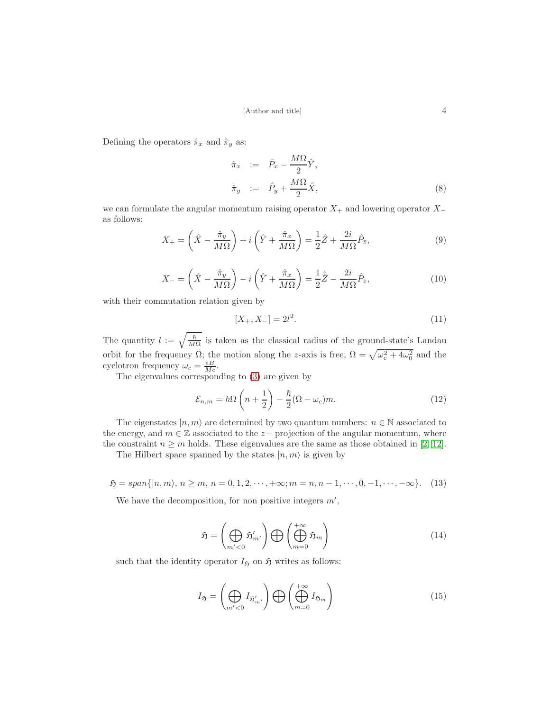Defining the operators  $\hat{\pi}_x$  and  $\hat{\pi}_y$  as:

$$
\hat{\pi}_x := \hat{P}_x - \frac{M\Omega}{2} \hat{Y}, \n\hat{\pi}_y := \hat{P}_y + \frac{M\Omega}{2} \hat{X},
$$
\n(8)

we can formulate the angular momentum raising operator  $X_+$  and lowering operator  $X_$ as follows:

<span id="page-3-2"></span>
$$
X_{+} = \left(\hat{X} - \frac{\hat{\pi}_y}{M\Omega}\right) + i\left(\hat{Y} + \frac{\hat{\pi}_x}{M\Omega}\right) = \frac{1}{2}\hat{Z} + \frac{2i}{M\Omega}\hat{P}_{\bar{z}},\tag{9}
$$

<span id="page-3-3"></span>
$$
X_{-} = \left(\hat{X} - \frac{\hat{\pi}_y}{M\Omega}\right) - i\left(\hat{Y} + \frac{\hat{\pi}_x}{M\Omega}\right) = \frac{1}{2}\hat{\bar{Z}} - \frac{2i}{M\Omega}\hat{P}_z,\tag{10}
$$

with their commutation relation given by

$$
[X_+, X_-] = 2l^2. \tag{11}
$$

The quantity  $l := \sqrt{\frac{\hbar}{M}}$  $\frac{h}{M\Omega}$  is taken as the classical radius of the ground-state's Landau orbit for the frequency  $\Omega$ ; the motion along the z-axis is free,  $\Omega = \sqrt{\omega_c^2 + 4\omega_0^2}$  and the cyclotron frequency  $\omega_c = \frac{eB}{Mc}$ .

The eigenvalues corresponding to [\(3\)](#page-2-1) are given by

<span id="page-3-4"></span>
$$
\mathcal{E}_{n,m} = \hbar\Omega\left(n + \frac{1}{2}\right) - \frac{\hbar}{2}(\Omega - \omega_c)m.
$$
\n(12)

The eigenstates  $|n, m\rangle$  are determined by two quantum numbers:  $n \in \mathbb{N}$  associated to the energy, and  $m \in \mathbb{Z}$  associated to the  $z-$  projection of the angular momentum, where the constraint  $n \geq m$  holds. These eigenvalues are the same as those obtained in [\[2,](#page-23-1) [12\]](#page-23-11).

The Hilbert space spanned by the states  $|n, m\rangle$  is given by

<span id="page-3-0"></span>
$$
\mathfrak{H} = span\{|n, m\rangle, n \ge m, n = 0, 1, 2, \cdots, +\infty; m = n, n - 1, \cdots, 0, -1, \cdots, -\infty\}.
$$
 (13)

We have the decomposition, for non positive integers  $m'$ ,

$$
\mathfrak{H} = \left(\bigoplus_{m' < 0} \mathfrak{H}'_{m'}\right) \bigoplus \left(\bigoplus_{m=0}^{+\infty} \mathfrak{H}_m\right) \tag{14}
$$

such that the identity operator  $I_{\mathfrak{H}}$  on  $\mathfrak{H}$  writes as follows:

<span id="page-3-1"></span>
$$
I_{\mathfrak{H}} = \left(\bigoplus_{m' < 0} I_{\mathfrak{H}'_{m'}}\right) \bigoplus \left(\bigoplus_{m=0}^{+\infty} I_{\mathfrak{H}_m}\right) \tag{15}
$$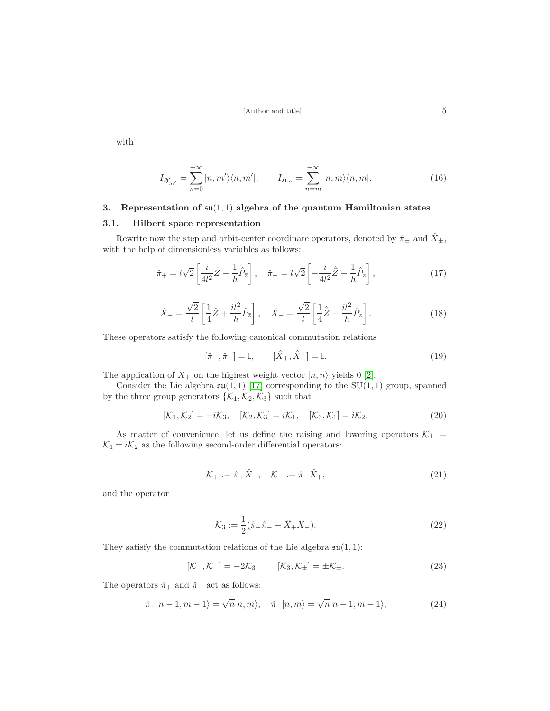with

$$
I_{\mathfrak{H}'_{m'}} = \sum_{n=0}^{+\infty} |n,m'\rangle\langle n,m'|, \qquad I_{\mathfrak{H}_m} = \sum_{n=m}^{+\infty} |n,m\rangle\langle n,m|.
$$
 (16)

# 3. Representation of  $\mathfrak{su}(1,1)$  algebra of the quantum Hamiltonian states

# 3.1. Hilbert space representation

Rewrite now the step and orbit-center coordinate operators, denoted by  $\hat{\pi}_{\pm}$  and  $\hat{X}_{\pm}$ , with the help of dimensionless variables as follows:

$$
\hat{\pi}_{+} = l\sqrt{2} \left[ \frac{i}{4l^2} \hat{Z} + \frac{1}{\hbar} \hat{P}_{\bar{z}} \right], \quad \hat{\pi}_{-} = l\sqrt{2} \left[ -\frac{i}{4l^2} \hat{\bar{Z}} + \frac{1}{\hbar} \hat{P}_{z} \right],
$$
\n(17)

$$
\hat{X}_{+} = \frac{\sqrt{2}}{l} \left[ \frac{1}{4} \hat{Z} + \frac{il^2}{\hbar} \hat{P}_{\bar{z}} \right], \quad \hat{X}_{-} = \frac{\sqrt{2}}{l} \left[ \frac{1}{4} \hat{\bar{Z}} - \frac{il^2}{\hbar} \hat{P}_{z} \right]. \tag{18}
$$

These operators satisfy the following canonical commutation relations

$$
[\hat{\pi}_{-}, \hat{\pi}_{+}] = \mathbb{I}, \qquad [\hat{X}_{+}, \hat{X}_{-}] = \mathbb{I}. \tag{19}
$$

The application of  $X_+$  on the highest weight vector  $|n, n\rangle$  yields 0 [\[2\]](#page-23-1).

Consider the Lie algebra  $\mathfrak{su}(1,1)$  [\[17\]](#page-23-15) corresponding to the SU(1,1) group, spanned by the three group generators  $\{\mathcal{K}_1, \mathcal{K}_2, \mathcal{K}_3\}$  such that

$$
[\mathcal{K}_1, \mathcal{K}_2] = -i\mathcal{K}_3, \quad [\mathcal{K}_2, \mathcal{K}_3] = i\mathcal{K}_1, \quad [\mathcal{K}_3, \mathcal{K}_1] = i\mathcal{K}_2.
$$
 (20)

As matter of convenience, let us define the raising and lowering operators  $\mathcal{K}_{\pm}$  =  $\mathcal{K}_1 \pm i \mathcal{K}_2$  as the following second-order differential operators:

$$
\mathcal{K}_{+} := \hat{\pi}_{+} \hat{X}_{-}, \quad \mathcal{K}_{-} := \hat{\pi}_{-} \hat{X}_{+}, \tag{21}
$$

and the operator

$$
\mathcal{K}_3 := \frac{1}{2} (\hat{\pi}_+ \hat{\pi}_- + \hat{X}_+ \hat{X}_-). \tag{22}
$$

They satisfy the commutation relations of the Lie algebra  $\mathfrak{su}(1,1)$ :

<span id="page-4-0"></span>
$$
[\mathcal{K}_+,\mathcal{K}_-] = -2\mathcal{K}_3, \qquad [\mathcal{K}_3,\mathcal{K}_\pm] = \pm \mathcal{K}_\pm.
$$
 (23)

The operators  $\hat{\pi}_+$  and  $\hat{\pi}_-$  act as follows:

$$
\hat{\pi}_+|n-1,m-1\rangle = \sqrt{n}|n,m\rangle, \quad \hat{\pi}_-|n,m\rangle = \sqrt{n}|n-1,m-1\rangle, \tag{24}
$$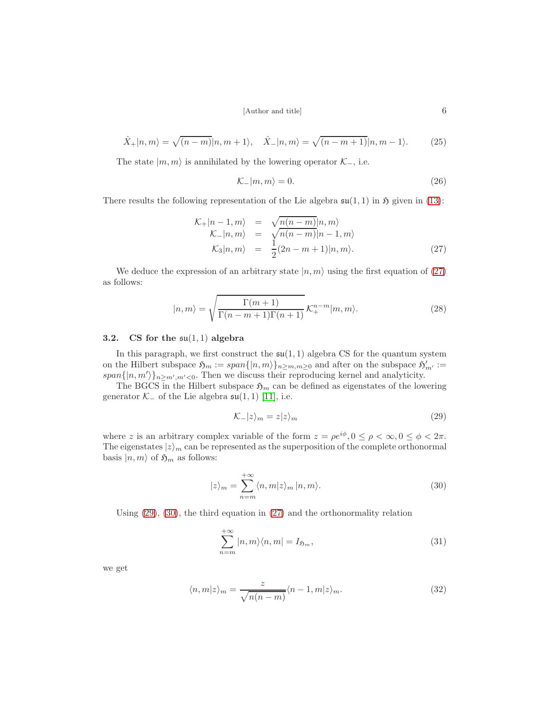$$
\hat{X}_+|n,m\rangle = \sqrt{(n-m)}|n,m+1\rangle, \quad \hat{X}_-|n,m\rangle = \sqrt{(n-m+1)}|n,m-1\rangle. \tag{25}
$$

The state  $|m, m\rangle$  is annihilated by the lowering operator  $\mathcal{K}_-,$  i.e.

$$
\mathcal{K}_-|m,m\rangle = 0.\tag{26}
$$

There results the following representation of the Lie algebra  $\mathfrak{su}(1,1)$  in  $\mathfrak{H}$  given in [\(13\)](#page-3-0):

<span id="page-5-0"></span>
$$
\mathcal{K}_+|n-1,m\rangle = \sqrt{n(n-m)}|n,m\rangle
$$
  
\n
$$
\mathcal{K}_-|n,m\rangle = \sqrt{n(n-m)}|n-1,m\rangle
$$
  
\n
$$
\mathcal{K}_3|n,m\rangle = \frac{1}{2}(2n-m+1)|n,m\rangle.
$$
 (27)

We deduce the expression of an arbitrary state  $|n, m\rangle$  using the first equation of [\(27\)](#page-5-0) as follows:

$$
|n,m\rangle = \sqrt{\frac{\Gamma(m+1)}{\Gamma(n-m+1)\Gamma(n+1)}} \mathcal{K}^{n-m}_+ |m,m\rangle.
$$
 (28)

### 3.2. CS for the  $\mathfrak{su}(1,1)$  algebra

In this paragraph, we first construct the  $\mathfrak{su}(1,1)$  algebra CS for the quantum system on the Hilbert subspace  $\mathfrak{H}_m := span\{|n,m\rangle\}_{n \geq m,m \geq 0}$  and after on the subspace  $\mathfrak{H}'_{m'} :=$  $span\{|n,m'\rangle\}_{n\geq m',m'<0}$ . Then we discuss their reproducing kernel and analyticity.

The BGCS in the Hilbert subspace  $\mathfrak{H}_m$  can be defined as eigenstates of the lowering generator  $\mathcal{K}_-$  of the Lie algebra  $\mathfrak{su}(1,1)$  [\[11\]](#page-23-10), i.e.

<span id="page-5-1"></span>
$$
\mathcal{K}_-|z\rangle_m = z|z\rangle_m \tag{29}
$$

where z is an arbitrary complex variable of the form  $z = \rho e^{i\phi}$ ,  $0 \le \rho < \infty$ ,  $0 \le \phi < 2\pi$ . The eigenstates  $|z\rangle_m$  can be represented as the superposition of the complete orthonormal basis  $|n, m\rangle$  of  $\mathfrak{H}_m$  as follows:

<span id="page-5-2"></span>
$$
|z\rangle_{m} = \sum_{n=m}^{+\infty} \langle n, m|z\rangle_{m} |n, m\rangle.
$$
 (30)

Using [\(29\)](#page-5-1), [\(30\)](#page-5-2), the third equation in [\(27\)](#page-5-0) and the orthonormality relation

<span id="page-5-3"></span>
$$
\sum_{n=m}^{+\infty} |n,m\rangle\langle n,m| = I_{\mathfrak{H}_m},\tag{31}
$$

we get

$$
\langle n, m | z \rangle_m = \frac{z}{\sqrt{n(n-m)}} \langle n-1, m | z \rangle_m.
$$
 (32)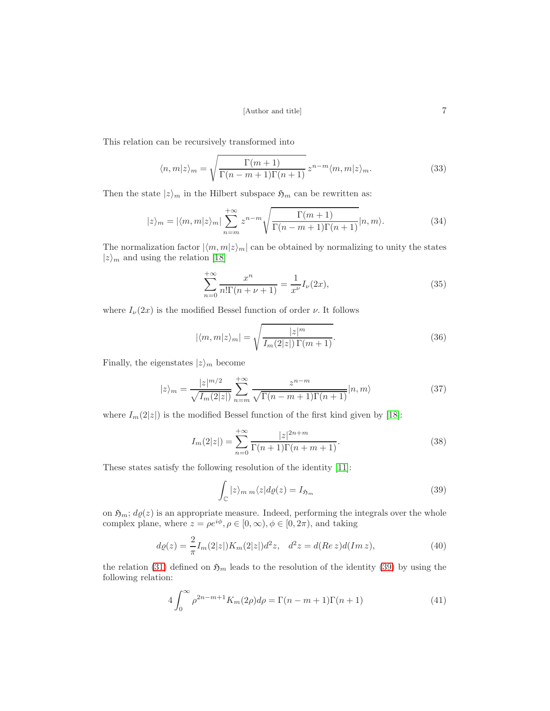This relation can be recursively transformed into

$$
\langle n,m|z\rangle_m = \sqrt{\frac{\Gamma(m+1)}{\Gamma(n-m+1)\Gamma(n+1)}} z^{n-m} \langle m,m|z\rangle_m.
$$
 (33)

Then the state  $|z\rangle_m$  in the Hilbert subspace  $\mathfrak{H}_m$  can be rewritten as:

<span id="page-6-1"></span>
$$
|z\rangle_{m} = |\langle m, m|z\rangle_{m}| \sum_{n=m}^{+\infty} z^{n-m} \sqrt{\frac{\Gamma(m+1)}{\Gamma(n-m+1)\Gamma(n+1)}} |n, m\rangle.
$$
 (34)

The normalization factor  $|\langle m, m|z\rangle_m|$  can be obtained by normalizing to unity the states  $|z\rangle_m$  and using the relation [\[18\]](#page-23-16)

<span id="page-6-4"></span>
$$
\sum_{n=0}^{+\infty} \frac{x^n}{n! \Gamma(n+\nu+1)} = \frac{1}{x^{\nu}} I_{\nu}(2x),\tag{35}
$$

where  $I_{\nu}(2x)$  is the modified Bessel function of order  $\nu$ . It follows

$$
|\langle m,m|z\rangle_m| = \sqrt{\frac{|z|^m}{I_m(2|z|)\Gamma(m+1)}}.\tag{36}
$$

Finally, the eigenstates  $|z\rangle_m$  become

<span id="page-6-3"></span>
$$
|z\rangle_m = \frac{|z|^{m/2}}{\sqrt{I_m(2|z|)}} \sum_{n=m}^{+\infty} \frac{z^{n-m}}{\sqrt{\Gamma(n-m+1)\Gamma(n+1)}} |n,m\rangle \tag{37}
$$

where  $I_m(2|z|)$  is the modified Bessel function of the first kind given by [\[18\]](#page-23-16):

$$
I_m(2|z|) = \sum_{n=0}^{+\infty} \frac{|z|^{2n+m}}{\Gamma(n+1)\Gamma(n+m+1)}.
$$
\n(38)

These states satisfy the following resolution of the identity [\[11\]](#page-23-10):

<span id="page-6-0"></span>
$$
\int_{\mathbb{C}} |z\rangle_{m \, m} \langle z| d\varrho(z) = I_{\mathfrak{H}_m} \tag{39}
$$

on  $\mathfrak{H}_m$ ;  $d\varrho(z)$  is an appropriate measure. Indeed, performing the integrals over the whole complex plane, where  $z = \rho e^{i\phi}, \rho \in [0, \infty), \phi \in [0, 2\pi)$ , and taking

$$
d\varrho(z) = \frac{2}{\pi} I_m(2|z|) K_m(2|z|) d^2 z, \quad d^2 z = d(Re\, z) d(Im\, z), \tag{40}
$$

the relation [\(31\)](#page-5-3) defined on  $\mathfrak{H}_m$  leads to the resolution of the identity [\(39\)](#page-6-0) by using the following relation:

<span id="page-6-2"></span>
$$
4\int_0^\infty \rho^{2n-m+1} K_m(2\rho) d\rho = \Gamma(n-m+1)\Gamma(n+1)
$$
\n(41)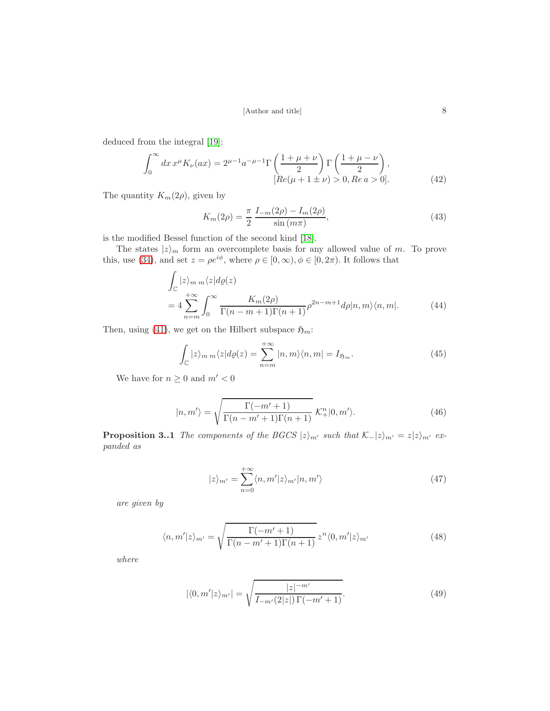deduced from the integral [\[19\]](#page-23-17):

<span id="page-7-3"></span>
$$
\int_0^\infty dx \, x^\mu K_\nu(ax) = 2^{\mu - 1} a^{-\mu - 1} \Gamma\left(\frac{1 + \mu + \nu}{2}\right) \Gamma\left(\frac{1 + \mu - \nu}{2}\right),
$$
\n
$$
[Re(\mu + 1 \pm \nu) > 0, Re \, a > 0].
$$
\n(42)

The quantity  $K_m(2\rho)$ , given by

$$
K_m(2\rho) = \frac{\pi}{2} \frac{I_{-m}(2\rho) - I_m(2\rho)}{\sin\left(m\pi\right)},\tag{43}
$$

is the modified Bessel function of the second kind [\[18\]](#page-23-16).

The states  $|z\rangle_m$  form an overcomplete basis for any allowed value of m. To prove this, use [\(34\)](#page-6-1), and set  $z = \rho e^{i\phi}$ , where  $\rho \in [0, \infty)$ ,  $\phi \in [0, 2\pi)$ . It follows that

<span id="page-7-1"></span>
$$
\int_{\mathbb{C}} |z\rangle_{m} m \langle z| d\varrho(z)
$$
\n
$$
= 4 \sum_{n=m}^{+\infty} \int_{0}^{\infty} \frac{K_{m}(2\rho)}{\Gamma(n-m+1)\Gamma(n+1)} \rho^{2n-m+1} d\rho |n, m \rangle \langle n, m|. \tag{44}
$$

Then, using [\(41\)](#page-6-2), we get on the Hilbert subspace  $\mathfrak{H}_m$ :

<span id="page-7-2"></span>
$$
\int_{\mathbb{C}} |z\rangle_{m \, m} \langle z| d\varrho(z) = \sum_{n=m}^{+\infty} |n, m\rangle \langle n, m| = I_{\mathfrak{H}_m}.\tag{45}
$$

We have for  $n\geq 0$  and  $m'<0$ 

$$
|n,m'\rangle = \sqrt{\frac{\Gamma(-m'+1)}{\Gamma(n-m'+1)\Gamma(n+1)}} \mathcal{K}^n_+|0,m'\rangle.
$$
 (46)

**Proposition 3..1** The components of the BGCS  $|z\rangle_{m'}$  such that  $\mathcal{K}_-|z\rangle_{m'} = z|z\rangle_{m'}$  expanded as

$$
|z\rangle_{m'} = \sum_{n=0}^{+\infty} \langle n, m'|z\rangle_{m'} |n, m'\rangle
$$
 (47)

are given by

<span id="page-7-0"></span>
$$
\langle n, m'|z\rangle_{m'} = \sqrt{\frac{\Gamma(-m'+1)}{\Gamma(n-m'+1)\Gamma(n+1)}} z^n \langle 0, m'|z\rangle_{m'}
$$
(48)

where

$$
|\langle 0, m'|z\rangle_{m'}| = \sqrt{\frac{|z|^{-m'}}{I_{-m'}(2|z|)\Gamma(-m'+1)}}.
$$
\n(49)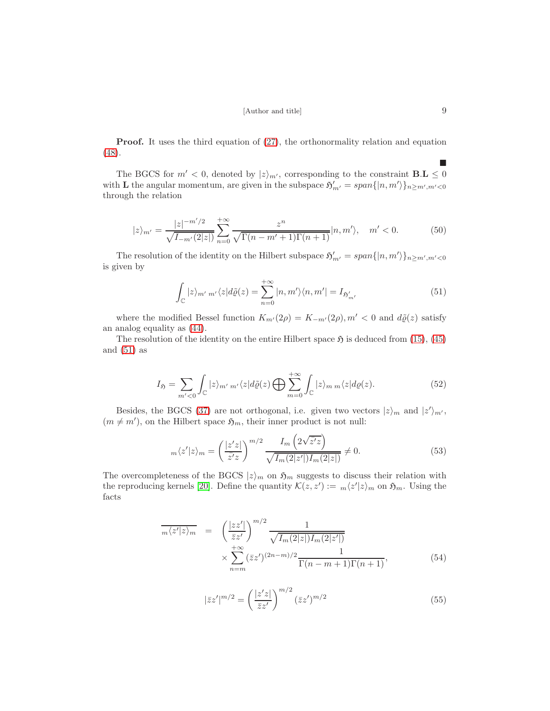Proof. It uses the third equation of [\(27\)](#page-5-0), the orthonormality relation and equation [\(48\)](#page-7-0).

The BGCS for  $m' < 0$ , denoted by  $|z\rangle_{m'}$ , corresponding to the constraint **B.L**  $\leq 0$ with **L** the angular momentum, are given in the subspace  $\mathfrak{H}'_{m'} = span\{|n,m'\rangle\}_{n \geq m',m' < 0}$ through the relation

$$
|z\rangle_{m'} = \frac{|z|^{-m'/2}}{\sqrt{I_{-m'}(2|z|)}} \sum_{n=0}^{+\infty} \frac{z^n}{\sqrt{\Gamma(n-m'+1)\Gamma(n+1)}} |n, m'\rangle, \quad m' < 0.
$$
 (50)

The resolution of the identity on the Hilbert subspace  $\mathfrak{H}'_{m'} = span\{|n,m'\rangle\}_{n \geq m',m' < 0}$ is given by

<span id="page-8-0"></span>
$$
\int_{\mathbb{C}} |z\rangle_{m'm'} \langle z| d\tilde{\varrho}(z) = \sum_{n=0}^{+\infty} |n, m'\rangle \langle n, m'| = I_{\mathfrak{H}'_{m'}} \tag{51}
$$

where the modified Bessel function  $K_{m'}(2\rho) = K_{-m'}(2\rho), m' < 0$  and  $d\tilde{\varrho}(z)$  satisfy an analog equality as [\(44\)](#page-7-1).

The resolution of the identity on the entire Hilbert space  $\mathfrak{H}$  is deduced from [\(15\)](#page-3-1), [\(45\)](#page-7-2) and  $(51)$  as

$$
I_{\mathfrak{H}} = \sum_{m' < 0} \int_{\mathbb{C}} |z\rangle_{m' m'} \langle z| d\tilde{\varrho}(z) \bigoplus \sum_{m=0}^{+\infty} \int_{\mathbb{C}} |z\rangle_{m m} \langle z| d\varrho(z). \tag{52}
$$

Besides, the BGCS [\(37\)](#page-6-3) are not orthogonal, i.e. given two vectors  $|z\rangle_m$  and  $|z'\rangle_{m'}$ ,  $(m \neq m')$ , on the Hilbert space  $\mathfrak{H}_m$ , their inner product is not null:

<span id="page-8-1"></span>
$$
m\langle z'|z\rangle_m = \left(\frac{|z'z|}{\bar{z}'z}\right)^{m/2} \frac{I_m\left(2\sqrt{\bar{z}'z}\right)}{\sqrt{I_m(2|z'|)I_m(2|z|)}} \neq 0. \tag{53}
$$

The overcompleteness of the BGCS  $|z\rangle_m$  on  $\mathfrak{H}_m$  suggests to discuss their relation with the reproducing kernels [\[20\]](#page-24-0). Define the quantity  $\mathcal{K}(z, z') := m\langle z'|z\rangle_m$  on  $\mathfrak{H}_m$ . Using the facts

$$
\overline{m\langle z'|z\rangle_m} = \left(\frac{|zz'|}{\overline{z}z'}\right)^{m/2} \frac{1}{\sqrt{I_m(2|z|)I_m(2|z'|)}}\n\times \sum_{n=m}^{+\infty} (\overline{z}z')^{(2n-m)/2} \frac{1}{\Gamma(n-m+1)\Gamma(n+1)},
$$
\n(54)

$$
|\bar{z}z'|^{m/2} = \left(\frac{|z'z|}{\bar{z}z'}\right)^{m/2} (\bar{z}z')^{m/2}
$$
\n(55)

 $\blacksquare$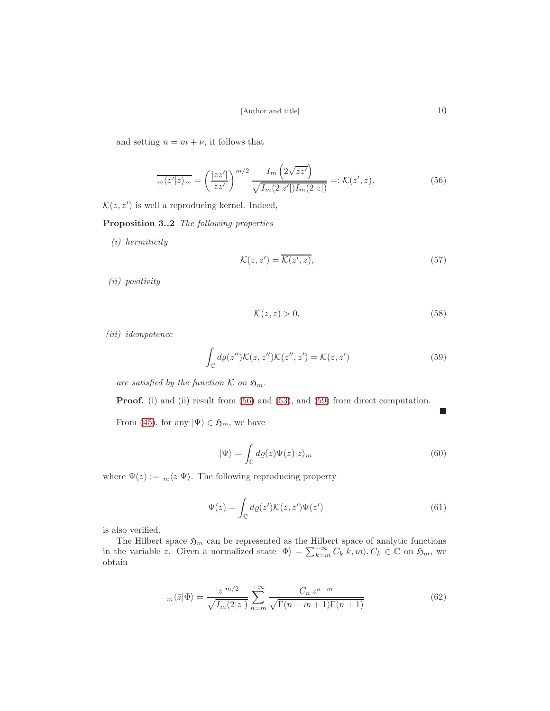and setting  $n = m + \nu$ , it follows that

<span id="page-9-0"></span>
$$
\overline{m\langle z'|z\rangle_m} = \left(\frac{|zz'|}{\bar{z}z'}\right)^{m/2} \frac{I_m\left(2\sqrt{\bar{z}z'}\right)}{\sqrt{I_m(2|z'|)I_m(2|z|)}} =: \mathcal{K}(z', z). \tag{56}
$$

 $\mathcal{K}(z, z')$  is well a reproducing kernel. Indeed,

Proposition 3..2 The following properties

(i) hermiticity

$$
\mathcal{K}(z, z') = \overline{\mathcal{K}(z', z)},\tag{57}
$$

(ii) positivity

$$
\mathcal{K}(z, z) > 0,\tag{58}
$$

(iii) idempotence

<span id="page-9-1"></span>
$$
\int_{\mathbb{C}} d\varrho(z'') \mathcal{K}(z, z'') \mathcal{K}(z'', z') = \mathcal{K}(z, z')
$$
\n(59)

are satisfied by the function  $K$  on  $\mathfrak{H}_m$ .

Proof. (i) and (ii) result from [\(56\)](#page-9-0) and [\(53\)](#page-8-1), and [\(59\)](#page-9-1) from direct computation.

From [\(45\)](#page-7-2), for any  $|\Psi\rangle \in \mathfrak{H}_m$ , we have

$$
|\Psi\rangle = \int_{\mathbb{C}} d\varrho(z)\Psi(z)|z\rangle_m \tag{60}
$$

where  $\Psi(z) := \sqrt{\frac{z}{\Psi}}$ . The following reproducing property

$$
\Psi(z) = \int_{\mathbb{C}} d\varrho(z') \mathcal{K}(z, z') \Psi(z')
$$
\n(61)

is also verified.

The Hilbert space  $\mathfrak{H}_m$  can be represented as the Hilbert space of analytic functions in the variable z. Given a normalized state  $|\Phi\rangle = \sum_{k=m}^{+\infty} C_k |k,m\rangle, C_k \in \mathbb{C}$  on  $\mathfrak{H}_m$ , we obtain

$$
m\langle \bar{z}|\Phi\rangle = \frac{|z|^{m/2}}{\sqrt{I_m(2|z|)}} \sum_{n=m}^{+\infty} \frac{C_n z^{n-m}}{\sqrt{\Gamma(n-m+1)\Gamma(n+1)}}
$$
(62)

 $\blacksquare$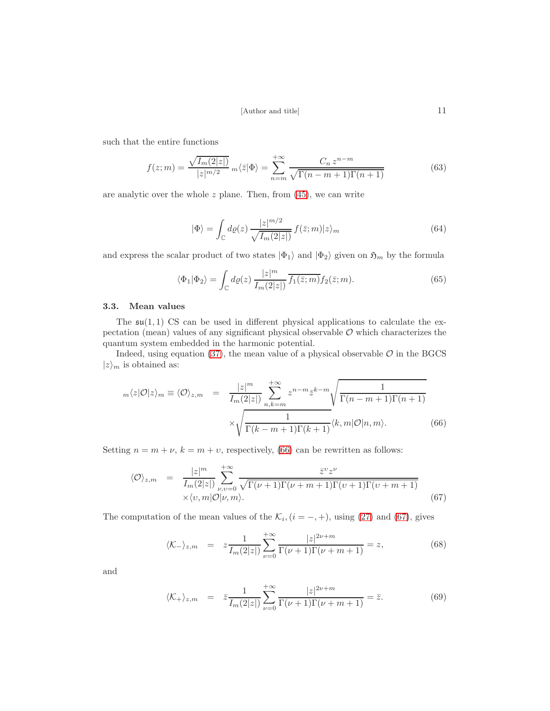such that the entire functions

$$
f(z;m) = \frac{\sqrt{I_m(2|z|)}}{|z|^{m/2}} \, m\langle \bar{z} | \Phi \rangle = \sum_{n=m}^{+\infty} \frac{C_n \, z^{n-m}}{\sqrt{\Gamma(n-m+1)\Gamma(n+1)}} \tag{63}
$$

are analytic over the whole  $z$  plane. Then, from  $(45)$ , we can write

$$
|\Phi\rangle = \int_{\mathbb{C}} d\varrho(z) \frac{|z|^{m/2}}{\sqrt{I_m(2|z|)}} f(\bar{z};m)|z\rangle_m
$$
\n(64)

and express the scalar product of two states  $|\Phi_1\rangle$  and  $|\Phi_2\rangle$  given on  $\mathfrak{H}_m$  by the formula

$$
\langle \Phi_1 | \Phi_2 \rangle = \int_{\mathbb{C}} d\varrho(z) \, \frac{|z|^m}{I_m(2|z|)} \overline{f_1(\bar{z};m)} f_2(\bar{z};m). \tag{65}
$$

# <span id="page-10-4"></span>3.3. Mean values

The  $\mathfrak{su}(1,1)$  CS can be used in different physical applications to calculate the expectation (mean) values of any significant physical observable  $\mathcal O$  which characterizes the quantum system embedded in the harmonic potential.

Indeed, using equation [\(37\)](#page-6-3), the mean value of a physical observable  $\mathcal O$  in the BGCS  $|z\rangle_m$  is obtained as:

<span id="page-10-0"></span>
$$
m\langle z|\mathcal{O}|z\rangle_m \equiv \langle \mathcal{O}\rangle_{z,m} = \frac{|z|^m}{I_m(2|z|)} \sum_{n,k=m}^{+\infty} z^{n-m} \overline{z}^{k-m} \sqrt{\frac{1}{\Gamma(n-m+1)\Gamma(n+1)}}
$$

$$
\times \sqrt{\frac{1}{\Gamma(k-m+1)\Gamma(k+1)}} \langle k,m|\mathcal{O}|n,m\rangle.
$$
(66)

Setting  $n = m + \nu$ ,  $k = m + \nu$ , respectively, [\(66\)](#page-10-0) can be rewritten as follows:

<span id="page-10-1"></span>
$$
\langle \mathcal{O} \rangle_{z,m} = \frac{|z|^m}{I_m(2|z|)} \sum_{\nu,\nu=0}^{+\infty} \frac{\bar{z}^{\nu} z^{\nu}}{\sqrt{\Gamma(\nu+1)\Gamma(\nu+m+1)\Gamma(\nu+1)\Gamma(\nu+m+1)}} \times \langle \nu, m | \mathcal{O} | \nu, m \rangle.
$$
\n(67)

The computation of the mean values of the  $\mathcal{K}_i$ ,  $(i = -, +)$ , using [\(27\)](#page-5-0) and [\(67\)](#page-10-1), gives

<span id="page-10-2"></span>
$$
\langle K_{-} \rangle_{z,m} = z \frac{1}{I_m(2|z|)} \sum_{\nu=0}^{+\infty} \frac{|z|^{2\nu+m}}{\Gamma(\nu+1)\Gamma(\nu+m+1)} = z,
$$
 (68)

and

<span id="page-10-3"></span>
$$
\langle K_{+} \rangle_{z,m} = \bar{z} \frac{1}{I_{m}(2|z|)} \sum_{\nu=0}^{+\infty} \frac{|z|^{2\nu+m}}{\Gamma(\nu+1)\Gamma(\nu+m+1)} = \bar{z}.
$$
 (69)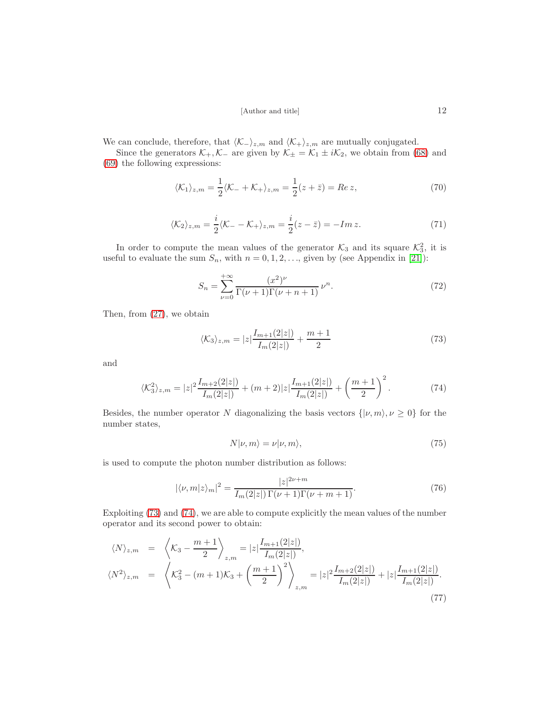We can conclude, therefore, that  $\langle K_-\rangle_{z,m}$  and  $\langle K_+\rangle_{z,m}$  are mutually conjugated.

Since the generators  $\mathcal{K}_+$ ,  $\mathcal{K}_-$  are given by  $\mathcal{K}_\pm = \mathcal{K}_1 \pm i\mathcal{K}_2$ , we obtain from [\(68\)](#page-10-2) and [\(69\)](#page-10-3) the following expressions:

$$
\langle \mathcal{K}_1 \rangle_{z,m} = \frac{1}{2} \langle \mathcal{K}_- + \mathcal{K}_+ \rangle_{z,m} = \frac{1}{2} (z + \bar{z}) = Re \, z,\tag{70}
$$

$$
\langle \mathcal{K}_2 \rangle_{z,m} = \frac{i}{2} \langle \mathcal{K}_- - \mathcal{K}_+ \rangle_{z,m} = \frac{i}{2} (z - \bar{z}) = -Im \, z. \tag{71}
$$

In order to compute the mean values of the generator  $\mathcal{K}_3$  and its square  $\mathcal{K}_3^2$ , it is useful to evaluate the sum  $S_n$ , with  $n = 0, 1, 2, \ldots$ , given by (see Appendix in [\[21\]](#page-24-1)):

$$
S_n = \sum_{\nu=0}^{+\infty} \frac{(x^2)^{\nu}}{\Gamma(\nu+1)\Gamma(\nu+n+1)} \,\nu^n.
$$
 (72)

Then, from [\(27\)](#page-5-0), we obtain

<span id="page-11-0"></span>
$$
\langle K_3 \rangle_{z,m} = |z| \frac{I_{m+1}(2|z|)}{I_m(2|z|)} + \frac{m+1}{2}
$$
\n(73)

and

<span id="page-11-1"></span>
$$
\langle \mathcal{K}_3^2 \rangle_{z,m} = |z|^2 \frac{I_{m+2}(2|z|)}{I_m(2|z|)} + (m+2)|z| \frac{I_{m+1}(2|z|)}{I_m(2|z|)} + \left(\frac{m+1}{2}\right)^2. \tag{74}
$$

Besides, the number operator N diagonalizing the basis vectors  $\{|\nu, m\rangle, \nu \ge 0\}$  for the number states,

$$
N|\nu, m\rangle = \nu|\nu, m\rangle, \tag{75}
$$

is used to compute the photon number distribution as follows:

<span id="page-11-2"></span>
$$
|\langle \nu, m | z \rangle_m|^2 = \frac{|z|^{2\nu + m}}{I_m(2|z|) \Gamma(\nu + 1) \Gamma(\nu + m + 1)}.
$$
 (76)

Exploiting [\(73\)](#page-11-0) and [\(74\)](#page-11-1), we are able to compute explicitly the mean values of the number operator and its second power to obtain:

<span id="page-11-3"></span>
$$
\langle N \rangle_{z,m} = \left\langle K_3 - \frac{m+1}{2} \right\rangle_{z,m} = |z| \frac{I_{m+1}(2|z|)}{I_m(2|z|)},
$$
  

$$
\langle N^2 \rangle_{z,m} = \left\langle K_3^2 - (m+1)K_3 + \left(\frac{m+1}{2}\right)^2 \right\rangle_{z,m} = |z|^2 \frac{I_{m+2}(2|z|)}{I_m(2|z|)} + |z| \frac{I_{m+1}(2|z|)}{I_m(2|z|)}.
$$
\n
$$
(77)
$$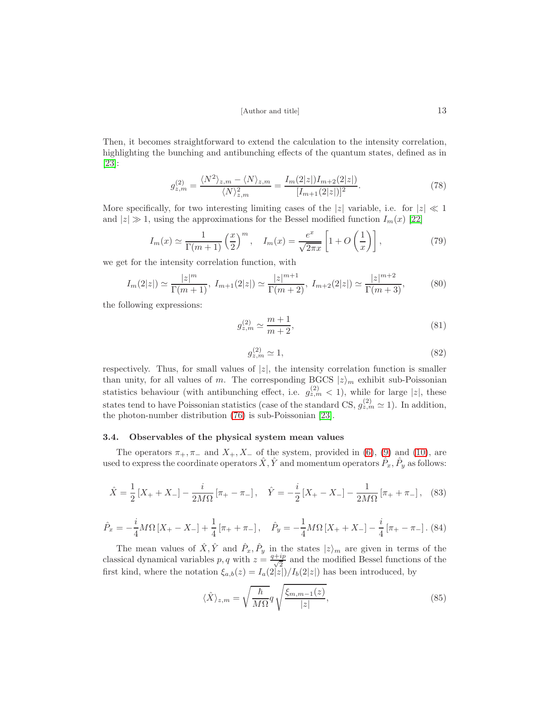Then, it becomes straightforward to extend the calculation to the intensity correlation, highlighting the bunching and antibunching effects of the quantum states, defined as in [\[23\]](#page-24-2):

$$
g_{z,m}^{(2)} = \frac{\langle N^2 \rangle_{z,m} - \langle N \rangle_{z,m}}{\langle N \rangle_{z,m}^2} = \frac{I_m(2|z|)I_{m+2}(2|z|)}{[I_{m+1}(2|z|)]^2}.
$$
\n(78)

More specifically, for two interesting limiting cases of the |z| variable, i.e. for  $|z| \ll 1$ and  $|z| \gg 1$ , using the approximations for the Bessel modified function  $I_m(x)$  [\[22\]](#page-24-3)

<span id="page-12-0"></span>
$$
I_m(x) \simeq \frac{1}{\Gamma(m+1)} \left(\frac{x}{2}\right)^m, \quad I_m(x) = \frac{e^x}{\sqrt{2\pi x}} \left[1 + O\left(\frac{1}{x}\right)\right],\tag{79}
$$

we get for the intensity correlation function, with

<span id="page-12-1"></span>
$$
I_m(2|z|) \simeq \frac{|z|^m}{\Gamma(m+1)}, \ I_{m+1}(2|z|) \simeq \frac{|z|^{m+1}}{\Gamma(m+2)}, \ I_{m+2}(2|z|) \simeq \frac{|z|^{m+2}}{\Gamma(m+3)},\tag{80}
$$

the following expressions:

$$
g_{z,m}^{(2)} \simeq \frac{m+1}{m+2},\tag{81}
$$

$$
g_{z,m}^{(2)} \simeq 1,\tag{82}
$$

respectively. Thus, for small values of  $|z|$ , the intensity correlation function is smaller than unity, for all values of m. The corresponding BGCS  $|z\rangle_m$  exhibit sub-Poissonian statistics behaviour (with antibunching effect, i.e.  $g_{z,m}^{(2)} < 1$ ), while for large |z|, these states tend to have Poissonian statistics (case of the standard CS,  $g_{z,m}^{(2)} \simeq 1$ ). In addition, the photon-number distribution [\(76\)](#page-11-2) is sub-Poissonian [\[23\]](#page-24-2).

#### 3.4. Observables of the physical system mean values

The operators  $\pi_+$ ,  $\pi_-$  and  $X_+$ ,  $X_-$  of the system, provided in [\(6\)](#page-2-2), [\(9\)](#page-3-2) and [\(10\)](#page-3-3), are used to express the coordinate operators  $\hat{X}, \hat{Y}$  and momentum operators  $\hat{P}_x, \hat{P}_y$  as follows:

$$
\hat{X} = \frac{1}{2} \left[ X_+ + X_- \right] - \frac{i}{2M\Omega} \left[ \pi_+ - \pi_- \right], \quad \hat{Y} = -\frac{i}{2} \left[ X_+ - X_- \right] - \frac{1}{2M\Omega} \left[ \pi_+ + \pi_- \right], \quad (83)
$$

$$
\hat{P}_x = -\frac{i}{4}M\Omega\left[X_+ - X_-\right] + \frac{1}{4}\left[\pi_+ + \pi_-\right], \quad \hat{P}_y = -\frac{1}{4}M\Omega\left[X_+ + X_-\right] - \frac{i}{4}\left[\pi_+ - \pi_-\right].\tag{84}
$$

The mean values of  $\hat{X}, \hat{Y}$  and  $\hat{P}_x, \hat{P}_y$  in the states  $|z\rangle_m$  are given in terms of the classical dynamical variables p, q with  $z = \frac{q+ip}{\sqrt{2}}$  $\frac{ip}{2}$  and the modified Bessel functions of the first kind, where the notation  $\xi_{a,b}(z) = I_a(2|z|)/I_b(2|z|)$  has been introduced, by

$$
\langle \hat{X} \rangle_{z,m} = \sqrt{\frac{\hbar}{M\Omega}} q \sqrt{\frac{\xi_{m,m-1}(z)}{|z|}},\tag{85}
$$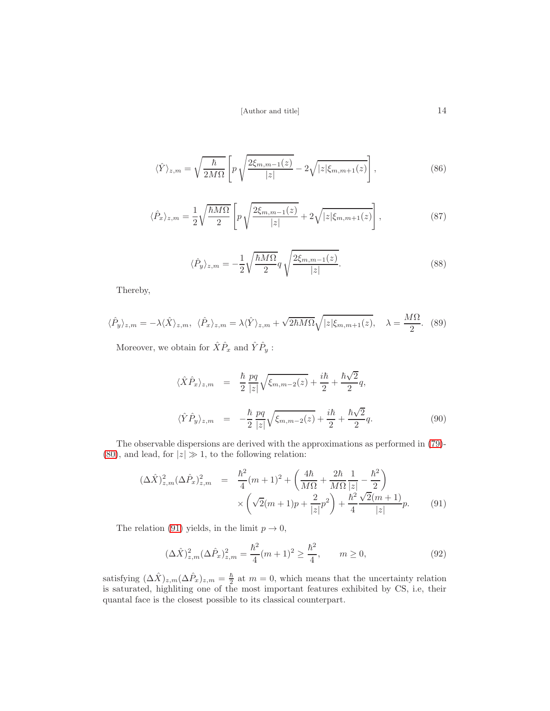$$
\langle \hat{Y} \rangle_{z,m} = \sqrt{\frac{\hbar}{2M\Omega}} \left[ p \sqrt{\frac{2\xi_{m,m-1}(z)}{|z|}} - 2\sqrt{|z|\xi_{m,m+1}(z)} \right],\tag{86}
$$

$$
\langle \hat{P}_x \rangle_{z,m} = \frac{1}{2} \sqrt{\frac{\hbar M \Omega}{2}} \left[ p \sqrt{\frac{2 \xi_{m,m-1}(z)}{|z|}} + 2 \sqrt{|z| \xi_{m,m+1}(z)} \right],\tag{87}
$$

$$
\langle \hat{P}_y \rangle_{z,m} = -\frac{1}{2} \sqrt{\frac{\hbar M \Omega}{2}} q \sqrt{\frac{2\xi_{m,m-1}(z)}{|z|}}.
$$
\n(88)

Thereby,

$$
\langle \hat{P}_y \rangle_{z,m} = -\lambda \langle \hat{X} \rangle_{z,m}, \quad \langle \hat{P}_x \rangle_{z,m} = \lambda \langle \hat{Y} \rangle_{z,m} + \sqrt{2\hbar M \Omega} \sqrt{|z|\xi_{m,m+1}(z)}, \quad \lambda = \frac{M\Omega}{2}.
$$
 (89)

Moreover, we obtain for  $\hat{X}\hat{P}_x$  and  $\hat{Y}\hat{P}_y$ :

$$
\langle \hat{X}\hat{P}_x \rangle_{z,m} = \frac{\hbar}{2} \frac{pq}{|z|} \sqrt{\xi_{m,m-2}(z)} + \frac{i\hbar}{2} + \frac{\hbar\sqrt{2}}{2} q,
$$
  

$$
\langle \hat{Y}\hat{P}_y \rangle_{z,m} = -\frac{\hbar}{2} \frac{pq}{|z|} \sqrt{\xi_{m,m-2}(z)} + \frac{i\hbar}{2} + \frac{\hbar\sqrt{2}}{2} q.
$$
 (90)

The observable dispersions are derived with the approximations as performed in [\(79\)](#page-12-0)- [\(80\)](#page-12-1), and lead, for  $|z| \gg 1$ , to the following relation:

<span id="page-13-0"></span>
$$
(\Delta \hat{X})_{z,m}^2 (\Delta \hat{P}_x)_{z,m}^2 = \frac{\hbar^2}{4} (m+1)^2 + \left( \frac{4\hbar}{M\Omega} + \frac{2\hbar}{M\Omega} \frac{1}{|z|} - \frac{\hbar^2}{2} \right) \times \left( \sqrt{2}(m+1)p + \frac{2}{|z|}p^2 \right) + \frac{\hbar^2}{4} \frac{\sqrt{2}(m+1)}{|z|} p. \tag{91}
$$

The relation [\(91\)](#page-13-0) yields, in the limit  $p \to 0$ ,

$$
(\Delta \hat{X})_{z,m}^2 (\Delta \hat{P}_x)_{z,m}^2 = \frac{\hbar^2}{4} (m+1)^2 \ge \frac{\hbar^2}{4}, \qquad m \ge 0,
$$
\n(92)

satisfying  $(\Delta \hat{X})_{z,m} (\Delta \hat{P}_x)_{z,m} = \frac{\hbar}{2}$  $\frac{h}{2}$  at  $m = 0$ , which means that the uncertainty relation is saturated, highliting one of the most important features exhibited by CS, i.e, their quantal face is the closest possible to its classical counterpart.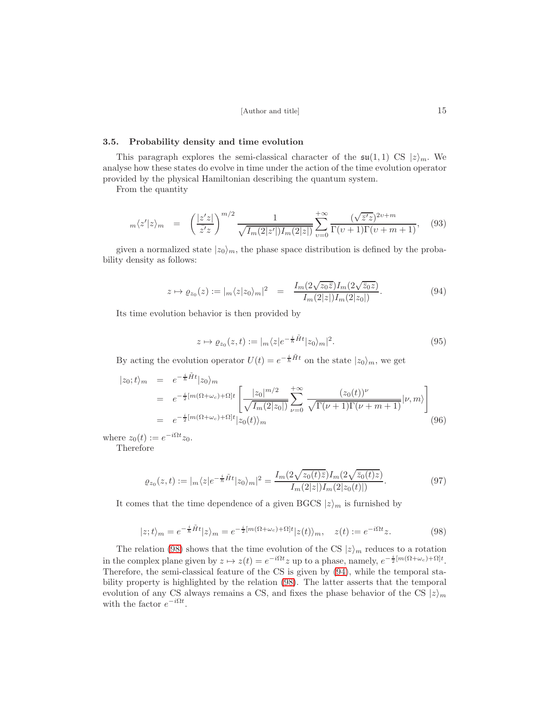#### 3.5. Probability density and time evolution

This paragraph explores the semi-classical character of the  $\mathfrak{su}(1,1)$  CS  $|z\rangle_m$ . We analyse how these states do evolve in time under the action of the time evolution operator provided by the physical Hamiltonian describing the quantum system.

From the quantity

$$
{}_m\langle z'|z\rangle_m = \left(\frac{|z'z|}{\bar{z'}z}\right)^{m/2} \frac{1}{\sqrt{I_m(2|z'|)I_m(2|z|)}} \sum_{v=0}^{+\infty} \frac{(\sqrt{\bar{z}'z})^{2v+m}}{\Gamma(v+1)\Gamma(v+m+1)},\quad (93)
$$

given a normalized state  $|z_0\rangle_m$ , the phase space distribution is defined by the probability density as follows:

<span id="page-14-1"></span>
$$
z \mapsto \varrho_{z_0}(z) := |m\langle z|z_0\rangle_m|^2 = \frac{I_m(2\sqrt{z_0\overline{z}})I_m(2\sqrt{\overline{z_0}z})}{I_m(2|z|)I_m(2|z_0|)}.
$$
\n(94)

Its time evolution behavior is then provided by

$$
z \mapsto \varrho_{z_0}(z,t) := |m \langle z| e^{-\frac{i}{\hbar}\tilde{H}t} |z_0 \rangle_m|^2. \tag{95}
$$

By acting the evolution operator  $U(t) = e^{-\frac{i}{\hbar}\tilde{H}t}$  on the state  $|z_0\rangle_m$ , we get

$$
|z_0;t\rangle_m = e^{-\frac{i}{\hbar}\tilde{H}t}|z_0\rangle_m
$$
  
\n
$$
= e^{-\frac{i}{2}[m(\Omega+\omega_c)+\Omega]t} \left[ \frac{|z_0|^{m/2}}{\sqrt{I_m(2|z_0|)}} \sum_{\nu=0}^{+\infty} \frac{(z_0(t))^{\nu}}{\sqrt{\Gamma(\nu+1)\Gamma(\nu+m+1)}} |\nu,m\rangle \right]
$$
  
\n
$$
= e^{-\frac{i}{2}[m(\Omega+\omega_c)+\Omega]t} |z_0(t)\rangle_m
$$
(96)

where  $z_0(t) := e^{-i\Omega t} z_0$ .

Therefore

$$
\varrho_{z_0}(z,t) := |_{m} \langle z | e^{-\frac{i}{\hbar}\tilde{H}t} | z_0 \rangle_m|^2 = \frac{I_m(2\sqrt{z_0(t)\bar{z}})I_m(2\sqrt{\bar{z}_0(t)\bar{z}})}{I_m(2|z|)I_m(2|z_0(t)|)}.
$$
\n(97)

It comes that the time dependence of a given BGCS  $|z\rangle_m$  is furnished by

<span id="page-14-0"></span>
$$
|z;t\rangle_m = e^{-\frac{i}{\hbar}\tilde{H}t}|z\rangle_m = e^{-\frac{i}{2}[m(\Omega + \omega_c) + \Omega]t}|z(t)\rangle_m, \quad z(t) := e^{-i\Omega t}z.
$$
 (98)

The relation [\(98\)](#page-14-0) shows that the time evolution of the CS  $|z\rangle_m$  reduces to a rotation in the complex plane given by  $z \mapsto z(t) = e^{-i\Omega t} z$  up to a phase, namely,  $e^{-\frac{i}{2}[m(\Omega + \omega_c) + \Omega]t}$ . Therefore, the semi-classical feature of the CS is given by [\(94\)](#page-14-1), while the temporal stability property is highlighted by the relation [\(98\)](#page-14-0). The latter asserts that the temporal evolution of any CS always remains a CS, and fixes the phase behavior of the CS  $|z\rangle_m$ with the factor  $e^{-i\Omega t}$ .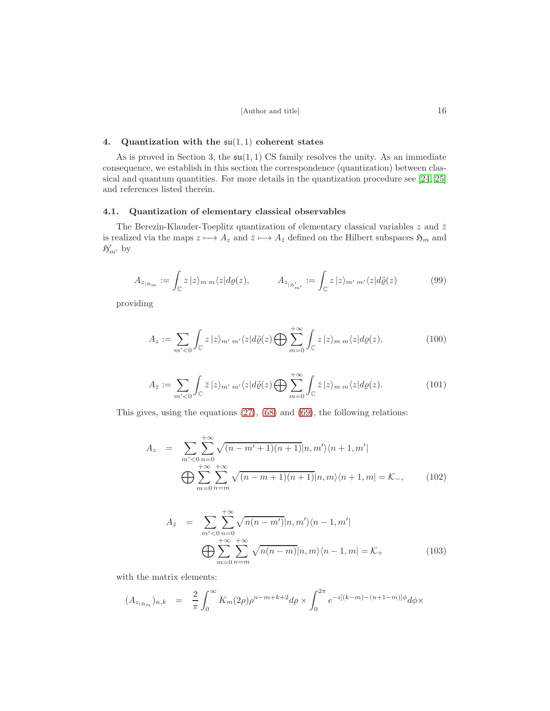#### 4. Quantization with the  $\mathfrak{su}(1,1)$  coherent states

As is proved in Section 3, the  $\mathfrak{su}(1,1)$  CS family resolves the unity. As an immediate consequence, we establish in this section the correspondence (quantization) between clas-sical and quantum quantities. For more details in the quantization procedure see [\[24,](#page-24-4) [25\]](#page-24-5) and references listed therein.

# 4.1. Quantization of elementary classical observables

The Berezin-Klauder-Toeplitz quantization of elementary classical variables  $z$  and  $\bar{z}$ is realized via the maps  $z \mapsto A_z$  and  $\bar{z} \mapsto A_{\bar{z}}$  defined on the Hilbert subspaces  $\mathfrak{H}_m$  and  $\mathfrak{H}'_{m'}$  by

$$
A_{z_{|\mathfrak{H}_m}} := \int_{\mathbb{C}} z \, |z\rangle_m \, \mathfrak{m} \langle z| d\varrho(z), \qquad A_{z_{|\mathfrak{H}'_{m'}}} := \int_{\mathbb{C}} z \, |z\rangle_{m'} \, \mathfrak{m}' \langle z| d\tilde{\varrho}(z) \qquad (99)
$$

providing

$$
A_z := \sum_{m' < 0} \int_{\mathbb{C}} z \, |z\rangle_{m'm'} \langle z| d\tilde{\varrho}(z) \bigoplus \sum_{m=0}^{+\infty} \int_{\mathbb{C}} z \, |z\rangle_{m'm} \langle z| d\varrho(z),\tag{100}
$$

$$
A_{\bar{z}} := \sum_{m' < 0} \int_{\mathbb{C}} \bar{z} \, |z\rangle_{m' \, m'} \langle z| d\tilde{\varrho}(z) \bigoplus \sum_{m=0}^{+\infty} \int_{\mathbb{C}} \bar{z} \, |z\rangle_{m \, m} \langle z| d\varrho(z). \tag{101}
$$

This gives, using the equations [\(27\)](#page-5-0), [\(68\)](#page-10-2) and [\(69\)](#page-10-3), the following relations:

$$
A_{z} = \sum_{m' < 0} \sum_{n=0}^{+\infty} \sqrt{(n-m'+1)(n+1)} |n, m'\rangle \langle n+1, m'|
$$
\n
$$
\bigoplus \sum_{m=0}^{+\infty} \sum_{n=m}^{+\infty} \sqrt{(n-m+1)(n+1)} |n, m\rangle \langle n+1, m| = \mathcal{K}_{-}, \qquad (102)
$$

$$
A_{\bar{z}} = \sum_{m' < 0} \sum_{n=0}^{+\infty} \sqrt{n(n-m')} |n, m'\rangle \langle n-1, m'|
$$
\n
$$
\bigoplus_{m=0}^{+\infty} \sum_{n=m}^{+\infty} \sqrt{n(n-m)} |n, m\rangle \langle n-1, m| = \mathcal{K}_{+}
$$
\n(103)

with the matrix elements:

$$
(A_{z_{|\mathfrak{H}_m}})_{n,k} = \frac{2}{\pi} \int_0^\infty K_m(2\rho) \rho^{n-m+k+2} d\rho \times \int_0^{2\pi} e^{-i[(k-m)-(n+1-m)]\phi} d\phi \times
$$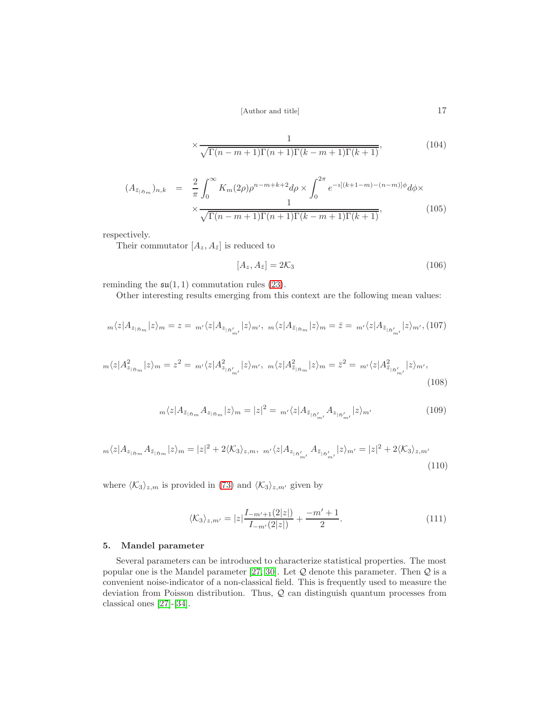$$
\times \frac{1}{\sqrt{\Gamma(n-m+1)\Gamma(n+1)\Gamma(k-m+1)\Gamma(k+1)}},\tag{104}
$$

$$
(A_{\bar{z}_{|\mathfrak{H}_m}})_{n,k} = \frac{2}{\pi} \int_0^\infty K_m(2\rho) \rho^{n-m+k+2} d\rho \times \int_0^{2\pi} e^{-i[(k+1-m)-(n-m)]\phi} d\phi \times \frac{1}{\sqrt{\Gamma(n-m+1)\Gamma(n+1)\Gamma(k-m+1)\Gamma(k+1)}},
$$
(105)

respectively.

Their commutator  $[A_z, A_{\bar{z}}]$  is reduced to

$$
[A_z, A_{\bar{z}}] = 2\mathcal{K}_3\tag{106}
$$

reminding the  $\mathfrak{su}(1,1)$  commutation rules [\(23\)](#page-4-0).

Other interesting results emerging from this context are the following mean values:

$$
{}_m\langle z|A_{z_{|S_m}}|z\rangle_m=z={}_{m'}\langle z|A_{z_{|S_{m'}^{'}}}|z\rangle_{m'},\ {}_m\langle z|A_{\bar{z}_{|S_m}}|z\rangle_m=\bar{z}={}_{m'}\langle z|A_{\bar{z}_{|S_{m'}^{'}}}|z\rangle_{m'},(107)
$$

$$
m\langle z|A_{z_{|\mathfrak{H}_m}}^2|z\rangle_m = z^2 = \,m'\langle z|A_{z_{|\mathfrak{H}'_{m'}}}^2|z\rangle_{m'},\,\,m\langle z|A_{\bar{z}_{|\mathfrak{H}_m}}^2|z\rangle_m = \bar{z}^2 = \,m'\langle z|A_{\bar{z}_{|\mathfrak{H}'_{m'}}}^2|z\rangle_{m'},\tag{108}
$$

$$
m\langle z|A_{\bar{z}_{|S_m}}A_{z_{|S_m}}|z\rangle_m = |z|^2 = m\langle z|A_{\bar{z}_{|S'_{m'}}}A_{z_{|S'_{m'}}}|z\rangle_{m'}
$$
(109)

$$
m\langle z|A_{z_{|\mathfrak{H}_m}}A_{\bar{z}_{|\mathfrak{H}_m}}|z\rangle_m = |z|^2 + 2\langle K_3\rangle_{z,m}, \ m'\langle z|A_{z_{|\mathfrak{H}'_{m'}}}A_{\bar{z}_{|\mathfrak{H}'_{m'}}}|z\rangle_{m'} = |z|^2 + 2\langle K_3\rangle_{z,m'}
$$
(110)

where  $\langle K_3 \rangle_{z,m}$  is provided in [\(73\)](#page-11-0) and  $\langle K_3 \rangle_{z,m'}$  given by

$$
\langle K_3 \rangle_{z,m'} = |z| \frac{I_{-m'+1}(2|z|)}{I_{-m'}(2|z|)} + \frac{-m'+1}{2}.
$$
\n(111)

# 5. Mandel parameter

Several parameters can be introduced to characterize statistical properties. The most popular one is the Mandel parameter [\[27,](#page-24-6) [30\]](#page-24-7). Let  $Q$  denote this parameter. Then  $Q$  is a convenient noise-indicator of a non-classical field. This is frequently used to measure the deviation from Poisson distribution. Thus, Q can distinguish quantum processes from classical ones [\[27\]](#page-24-6)-[\[34\]](#page-24-8).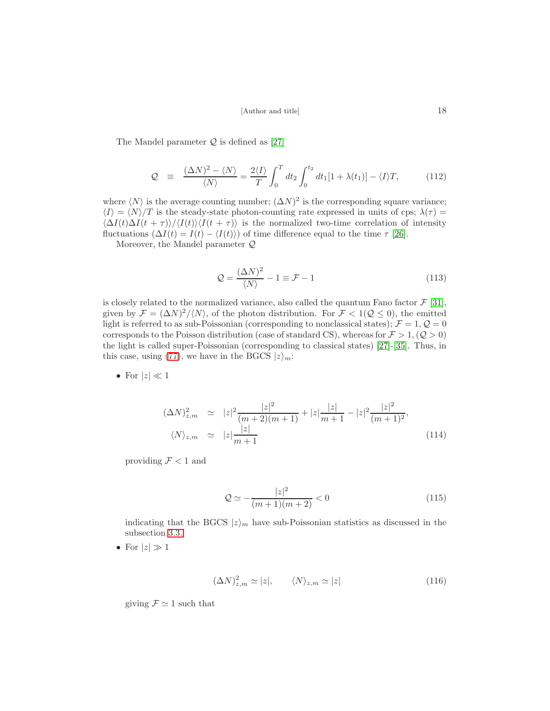The Mandel parameter  $Q$  is defined as [\[27\]](#page-24-6)

$$
\mathcal{Q} \equiv \frac{(\Delta N)^2 - \langle N \rangle}{\langle N \rangle} = \frac{2 \langle I \rangle}{T} \int_0^T dt_2 \int_0^{t_2} dt_1 [1 + \lambda(t_1)] - \langle I \rangle T, \quad (112)
$$

where  $\langle N \rangle$  is the average counting number;  $(\Delta N)^2$  is the corresponding square variance;  $\langle I \rangle = \langle N \rangle /T$  is the steady-state photon-counting rate expressed in units of cps;  $\lambda(\tau)$  =  $\langle \Delta I(t) \Delta I(t + \tau) \rangle / \langle I(t) \rangle \langle I(t + \tau) \rangle$  is the normalized two-time correlation of intensity fluctuations  $(\Delta I(t) = I(t) - \langle I(t) \rangle)$  of time difference equal to the time  $\tau$  [\[26\]](#page-24-9).

Moreover, the Mandel parameter Q

$$
\mathcal{Q} = \frac{(\Delta N)^2}{\langle N \rangle} - 1 \equiv \mathcal{F} - 1 \tag{113}
$$

is closely related to the normalized variance, also called the quantum Fano factor  $\mathcal{F}$  [\[31\]](#page-24-10), given by  $\mathcal{F} = (\Delta N)^2 \langle N \rangle$ , of the photon distribution. For  $\mathcal{F} < 1(\mathcal{Q} \le 0)$ , the emitted light is referred to as sub-Poissonian (corresponding to nonclassical states);  $\mathcal{F} = 1, \mathcal{Q} = 0$ corresponds to the Poisson distribution (case of standard CS), whereas for  $\mathcal{F} > 1$ , ( $\mathcal{Q} > 0$ ) the light is called super-Poissonian (corresponding to classical states) [\[27\]](#page-24-6)-[\[35\]](#page-24-11). Thus, in this case, using [\(77\)](#page-11-3), we have in the BGCS  $|z\rangle_m$ :

• For 
$$
|z| \ll 1
$$

$$
(\Delta N)_{z,m}^2 \simeq |z|^2 \frac{|z|^2}{(m+2)(m+1)} + |z| \frac{|z|}{m+1} - |z|^2 \frac{|z|^2}{(m+1)^2},
$$
  

$$
\langle N \rangle_{z,m} \simeq |z| \frac{|z|}{m+1}
$$
 (114)

providing  $\mathcal{F} < 1$  and

$$
\mathcal{Q} \simeq -\frac{|z|^2}{(m+1)(m+2)} < 0 \tag{115}
$$

indicating that the BGCS  $|z\rangle_m$  have sub-Poissonian statistics as discussed in the subsection [3.3.](#page-10-4)

• For  $|z| \gg 1$ 

$$
(\Delta N)_{z,m}^2 \simeq |z|, \qquad \langle N \rangle_{z,m} \simeq |z| \tag{116}
$$

giving  $\mathcal{F} \simeq 1$  such that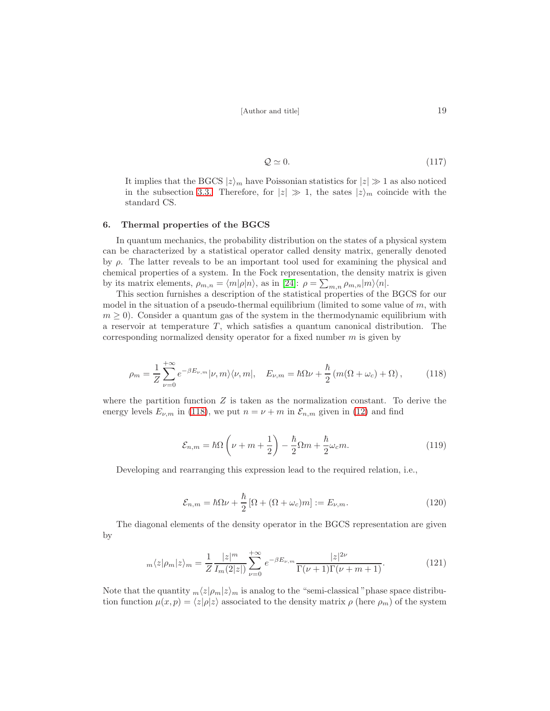$$
Q \simeq 0.\tag{117}
$$

It implies that the BGCS  $|z\rangle_m$  have Poissonian statistics for  $|z|\gg 1$  as also noticed in the subsection [3.3.](#page-10-4) Therefore, for  $|z| \gg 1$ , the sates  $|z\rangle_m$  coincide with the standard CS.

## 6. Thermal properties of the BGCS

In quantum mechanics, the probability distribution on the states of a physical system can be characterized by a statistical operator called density matrix, generally denoted by  $\rho$ . The latter reveals to be an important tool used for examining the physical and chemical properties of a system. In the Fock representation, the density matrix is given by its matrix elements,  $\rho_{m,n} = \langle m|\rho|n\rangle$ , as in [\[24\]](#page-24-4):  $\rho = \sum_{m,n} \rho_{m,n}|m\rangle\langle n|$ .

This section furnishes a description of the statistical properties of the BGCS for our model in the situation of a pseudo-thermal equilibrium (limited to some value of  $m$ , with  $m \geq 0$ ). Consider a quantum gas of the system in the thermodynamic equilibrium with a reservoir at temperature  $T$ , which satisfies a quantum canonical distribution. The corresponding normalized density operator for a fixed number  $m$  is given by

<span id="page-18-0"></span>
$$
\rho_m = \frac{1}{Z} \sum_{\nu=0}^{+\infty} e^{-\beta E_{\nu,m}} |\nu, m\rangle \langle \nu, m|, \quad E_{\nu,m} = \hbar \Omega \nu + \frac{\hbar}{2} \left( m(\Omega + \omega_c) + \Omega \right), \tag{118}
$$

where the partition function  $Z$  is taken as the normalization constant. To derive the energy levels  $E_{\nu,m}$  in [\(118\)](#page-18-0), we put  $n = \nu + m$  in  $\mathcal{E}_{n,m}$  given in [\(12\)](#page-3-4) and find

$$
\mathcal{E}_{n,m} = \hbar\Omega\left(\nu + m + \frac{1}{2}\right) - \frac{\hbar}{2}\Omega m + \frac{\hbar}{2}\omega_c m.
$$
\n(119)

Developing and rearranging this expression lead to the required relation, i.e.,

$$
\mathcal{E}_{n,m} = \hbar\Omega\nu + \frac{\hbar}{2} \left[ \Omega + (\Omega + \omega_c)m \right] := E_{\nu,m}.
$$
\n(120)

The diagonal elements of the density operator in the BGCS representation are given by

$$
m\langle z|\rho_m|z\rangle_m = \frac{1}{Z} \frac{|z|^m}{I_m(2|z|)} \sum_{\nu=0}^{+\infty} e^{-\beta E_{\nu,m}} \frac{|z|^{2\nu}}{\Gamma(\nu+1)\Gamma(\nu+m+1)}.
$$
(121)

Note that the quantity  $m\langle z|p_m|z\rangle_m$  is analog to the "semi-classical" phase space distribution function  $\mu(x, p) = \langle z|\rho|z\rangle$  associated to the density matrix  $\rho$  (here  $\rho_m$ ) of the system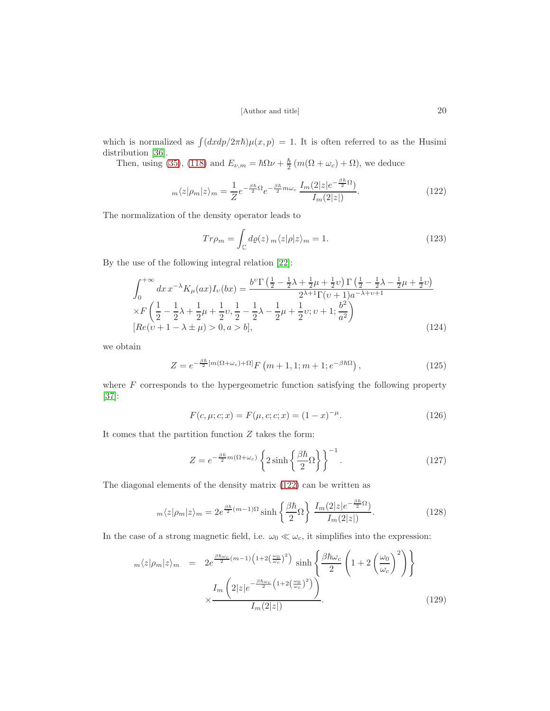which is normalized as  $\int (dx dp/2\pi\hbar)\mu(x, p) = 1$ . It is often referred to as the Husimi distribution [\[36\]](#page-24-12).

Then, using [\(35\)](#page-6-4), [\(118\)](#page-18-0) and  $E_{\nu,m} = \hbar \Omega \nu + \frac{\hbar}{2}$  $\frac{\hbar}{2}(m(\Omega + \omega_c) + \Omega)$ , we deduce

<span id="page-19-0"></span>
$$
m\langle z|\rho_m|z\rangle_m = \frac{1}{Z}e^{-\frac{\beta\hbar}{2}\Omega}e^{-\frac{\beta\hbar}{2}m\omega_c}\frac{I_m(2|z|e^{-\frac{\beta\hbar}{2}\Omega})}{I_m(2|z|)}.
$$
\n(122)

The normalization of the density operator leads to

$$
Tr\rho_m = \int_{\mathbb{C}} d\varrho(z) \, m \langle z | \rho | z \rangle_m = 1. \tag{123}
$$

By the use of the following integral relation [\[22\]](#page-24-3):

$$
\int_0^{+\infty} dx \, x^{-\lambda} K_\mu(ax) I_\nu(bx) = \frac{b^{\nu} \Gamma\left(\frac{1}{2} - \frac{1}{2}\lambda + \frac{1}{2}\mu + \frac{1}{2}\nu\right) \Gamma\left(\frac{1}{2} - \frac{1}{2}\lambda - \frac{1}{2}\mu + \frac{1}{2}\nu\right)}{2^{\lambda+1} \Gamma(\nu+1)a^{-\lambda+\nu+1}} \times F\left(\frac{1}{2} - \frac{1}{2}\lambda + \frac{1}{2}\mu + \frac{1}{2}\nu, \frac{1}{2} - \frac{1}{2}\lambda - \frac{1}{2}\mu + \frac{1}{2}\nu; \nu + 1; \frac{b^2}{a^2}\right) \times \left[Re(\nu+1-\lambda\pm\mu) > 0, a > b\right],
$$
\n(124)

we obtain

<span id="page-19-3"></span>
$$
Z = e^{-\frac{\beta \hbar}{2}[m(\Omega + \omega_c) + \Omega]} F(m+1, 1; m+1; e^{-\beta \hbar \Omega}), \qquad (125)
$$

where  $F$  corresponds to the hypergeometric function satisfying the following property [\[37\]](#page-24-13):

<span id="page-19-4"></span>
$$
F(c, \mu; c; x) = F(\mu, c; c; x) = (1 - x)^{-\mu}.
$$
\n(126)

It comes that the partition function  $Z$  takes the form:

$$
Z = e^{-\frac{\beta \hbar}{2}m(\Omega + \omega_c)} \left\{ 2\sinh\left\{ \frac{\beta \hbar}{2} \Omega \right\} \right\}^{-1}.
$$
 (127)

The diagonal elements of the density matrix [\(122\)](#page-19-0) can be written as

<span id="page-19-1"></span>
$$
m\langle z|\rho_m|z\rangle_m = 2e^{\frac{\beta\hbar}{2}(m-1)\Omega} \sinh\left\{\frac{\beta\hbar}{2}\Omega\right\} \frac{I_m(2|z|e^{-\frac{\beta\hbar}{2}\Omega})}{I_m(2|z|)}.
$$
 (128)

In the case of a strong magnetic field, i.e.  $\omega_0 \ll \omega_c$ , it simplifies into the expression:

<span id="page-19-2"></span>
$$
m\langle z|\rho_m|z\rangle_m = 2e^{\frac{\beta\hbar\omega_c}{2}(m-1)\left(1+2\left(\frac{\omega_0}{\omega_c}\right)^2\right)}\sinh\left\{\frac{\beta\hbar\omega_c}{2}\left(1+2\left(\frac{\omega_0}{\omega_c}\right)^2\right)\right\}}\times \frac{I_m\left(2|z|e^{-\frac{\beta\hbar\omega_c}{2}\left(1+2\left(\frac{\omega_0}{\omega_c}\right)^2\right)}\right)}{I_m(2|z|)}.
$$
(129)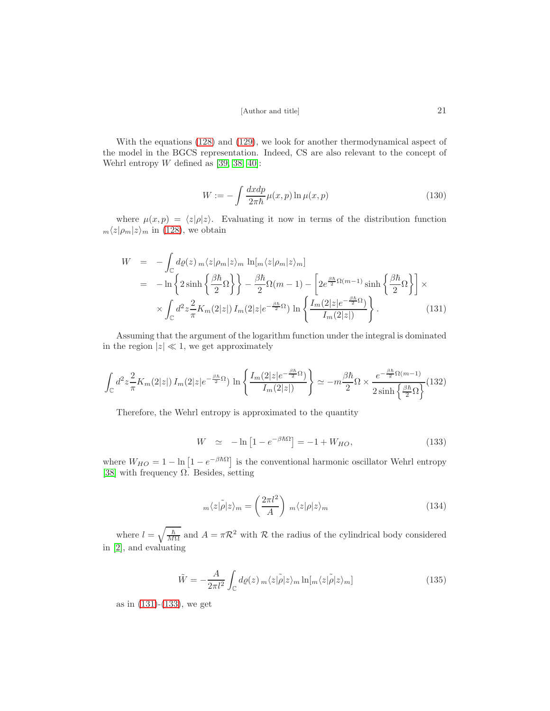$$
[{\it Author\ and\ title}] \qquad \qquad 21
$$

With the equations [\(128\)](#page-19-1) and [\(129\)](#page-19-2), we look for another thermodynamical aspect of the model in the BGCS representation. Indeed, CS are also relevant to the concept of Wehrl entropy  $W$  defined as [\[39,](#page-24-14) [38,](#page-24-15) [40\]](#page-24-16):

$$
W := -\int \frac{dx dp}{2\pi\hbar} \mu(x, p) \ln \mu(x, p)
$$
\n(130)

where  $\mu(x, p) = \langle z| \rho |z\rangle$ . Evaluating it now in terms of the distribution function  $m\langle z|\rho_m|z\rangle_m$  in [\(128\)](#page-19-1), we obtain

<span id="page-20-0"></span>
$$
W = -\int_{\mathbb{C}} d\varrho(z) \, m \langle z | \rho_m | z \rangle_m \, \ln[m \langle z | \rho_m | z \rangle_m]
$$
  
\n
$$
= -\ln \left\{ 2 \sinh \left\{ \frac{\beta \hbar}{2} \Omega \right\} \right\} - \frac{\beta \hbar}{2} \Omega (m - 1) - \left[ 2 e^{\frac{\beta \hbar}{2} \Omega (m - 1)} \sinh \left\{ \frac{\beta \hbar}{2} \Omega \right\} \right] \times
$$
  
\n
$$
\times \int_{\mathbb{C}} d^2 z \frac{2}{\pi} K_m(2|z|) I_m(2|z|e^{-\frac{\beta \hbar}{2} \Omega}) \ln \left\{ \frac{I_m(2|z|e^{-\frac{\beta \hbar}{2} \Omega})}{I_m(2|z|)} \right\}.
$$
 (131)

Assuming that the argument of the logarithm function under the integral is dominated in the region  $|z| \ll 1$ , we get approximately

$$
\int_{\mathbb{C}} d^2 z \frac{2}{\pi} K_m(2|z|) I_m(2|z|e^{-\frac{\beta \hbar}{2}\Omega}) \ln \left\{ \frac{I_m(2|z|e^{-\frac{\beta \hbar}{2}\Omega})}{I_m(2|z|)} \right\} \simeq -m\frac{\beta \hbar}{2} \Omega \times \frac{e^{-\frac{\beta \hbar}{2}\Omega(m-1)}}{2 \sinh \left\{ \frac{\beta \hbar}{2}\Omega \right\}} (132)
$$

Therefore, the Wehrl entropy is approximated to the quantity

<span id="page-20-1"></span>
$$
W \simeq -\ln\left[1 - e^{-\beta\hbar\Omega}\right] = -1 + W_{HO},\tag{133}
$$

where  $W_{HO} = 1 - \ln \left[1 - e^{-\beta \hbar \Omega} \right]$  is the conventional harmonic oscillator Wehrl entropy [\[38\]](#page-24-15) with frequency  $\Omega$ . Besides, setting

$$
m\langle z|\tilde{\rho}|z\rangle_m = \left(\frac{2\pi l^2}{A}\right) m\langle z|\rho|z\rangle_m \tag{134}
$$

where  $l = \sqrt{\frac{\hbar}{M}}$  $\frac{\hbar}{M\Omega}$  and  $A = \pi \mathcal{R}^2$  with  $\mathcal R$  the radius of the cylindrical body considered in [\[2\]](#page-23-1), and evaluating

$$
\tilde{W} = -\frac{A}{2\pi l^2} \int_{\mathbb{C}} d\varrho(z) \, m \langle z | \tilde{\rho} | z \rangle_m \ln[m \langle z | \tilde{\rho} | z \rangle_m]
$$
\n(135)

as in [\(131\)](#page-20-0)-[\(133\)](#page-20-1), we get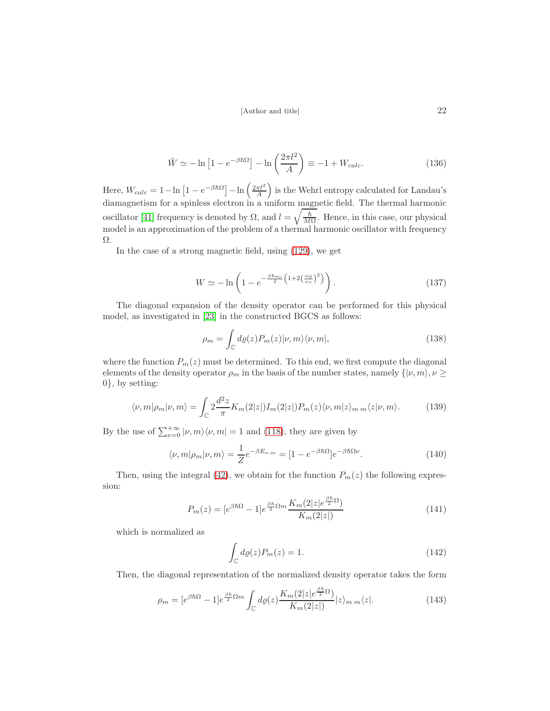$$
\tilde{W} \simeq -\ln\left[1 - e^{-\beta \hbar \Omega}\right] - \ln\left(\frac{2\pi l^2}{A}\right) \equiv -1 + W_{calc}.
$$
\n(136)

Here,  $W_{calc} = 1 - \ln \left[1 - e^{-\beta \hbar \Omega}\right] - \ln \left(\frac{2\pi l^2}{A}\right)$  is the Wehrl entropy calculated for Landau's diamagnetism for a spinless electron in a uniform magnetic field. The thermal harmonic oscillator [41] frequency is denoted by  $\Omega$ , and  $l = \sqrt{\frac{\hbar}{M}}$  $\frac{h}{M\Omega}$ . Hence, in this case, our physical model is an approximation of the problem of a thermal harmonic oscillator with frequency Ω.

In the case of a strong magnetic field, using [\(129\)](#page-19-2), we get

$$
W \simeq -\ln\left(1 - e^{-\frac{\beta \hbar \omega_c}{2}\left(1 + 2\left(\frac{\omega_0}{\omega_c}\right)^2\right)}\right). \tag{137}
$$

The diagonal expansion of the density operator can be performed for this physical model, as investigated in [\[23\]](#page-24-2) in the constructed BGCS as follows:

$$
\rho_m = \int_{\mathbb{C}} d\varrho(z) P_m(z) |\nu, m\rangle \langle \nu, m|, \qquad (138)
$$

where the function  $P_m(z)$  must be determined. To this end, we first compute the diagonal elements of the density operator  $\rho_m$  in the basis of the number states, namely  $\{|v, m\rangle, v \geq$ 0}, by setting:

$$
\langle \nu, m | \rho_m | \nu, m \rangle = \int_{\mathbb{C}} 2 \frac{d^2 z}{\pi} K_m(2|z|) I_m(2|z|) P_m(z) \langle \nu, m | z \rangle_{m \, m} \langle z | \nu, m \rangle. \tag{139}
$$

By the use of  $\sum_{\nu=0}^{+\infty} |\nu, m\rangle \langle \nu, m| = 1$  and [\(118\)](#page-18-0), they are given by

$$
\langle \nu, m | \rho_m | \nu, m \rangle = \frac{1}{Z} e^{-\beta E_{\nu, m}} = [1 - e^{-\beta \hbar \Omega}] e^{-\beta \hbar \Omega \nu}.
$$
 (140)

Then, using the integral [\(42\)](#page-7-3), we obtain for the function  $P_m(z)$  the following expression:

$$
P_m(z) = [e^{\beta \hbar \Omega} - 1]e^{\frac{\beta \hbar}{2}\Omega m} \frac{K_m(2|z|e^{\frac{\beta \hbar}{2}\Omega})}{K_m(2|z|)}
$$
(141)

which is normalized as

$$
\int_{\mathbb{C}} d\varrho(z) P_m(z) = 1. \tag{142}
$$

Then, the diagonal representation of the normalized density operator takes the form

$$
\rho_m = [e^{\beta \hbar \Omega} - 1]e^{\frac{\beta \hbar}{2}\Omega m} \int_{\mathbb{C}} d\varrho(z) \frac{K_m(2|z|e^{\frac{\beta \hbar}{2}\Omega})}{K_m(2|z|)} |z\rangle_{m \, m} \langle z|.
$$
\n(143)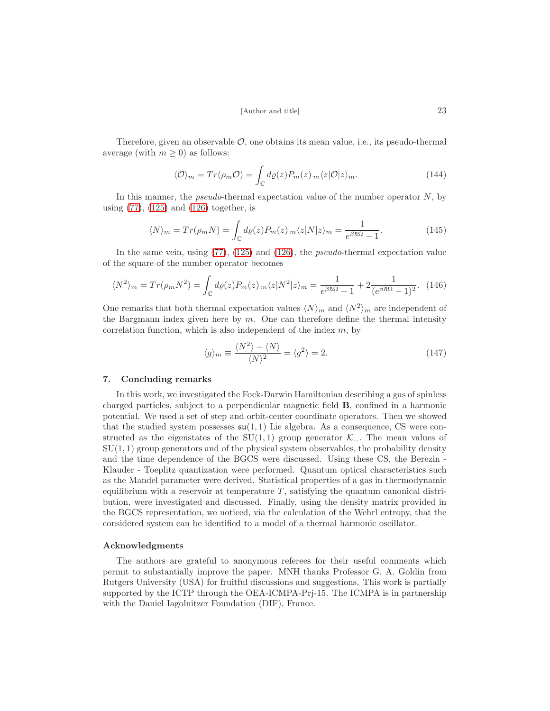Therefore, given an observable  $\mathcal{O}$ , one obtains its mean value, i.e., its pseudo-thermal average (with  $m \geq 0$ ) as follows:

$$
\langle \mathcal{O} \rangle_m = Tr(\rho_m \mathcal{O}) = \int_{\mathbb{C}} d\varrho(z) P_m(z) \, _m \langle z | \mathcal{O} | z \rangle_m. \tag{144}
$$

In this manner, the *pseudo*-thermal expectation value of the number operator  $N$ , by using [\(77\)](#page-11-3), [\(125\)](#page-19-3) and [\(126\)](#page-19-4) together, is

$$
\langle N \rangle_m = Tr(\rho_m N) = \int_{\mathbb{C}} d\varrho(z) P_m(z) \, m \langle z | N | z \rangle_m = \frac{1}{e^{\beta \hbar \Omega} - 1}.
$$
 (145)

In the same vein, using [\(77\)](#page-11-3), [\(125\)](#page-19-3) and [\(126\)](#page-19-4), the pseudo-thermal expectation value of the square of the number operator becomes

$$
\langle N^2 \rangle_m = Tr(\rho_m N^2) = \int_{\mathbb{C}} d\varrho(z) P_m(z) \, _m \langle z | N^2 | z \rangle_m = \frac{1}{e^{\beta \hbar \Omega} - 1} + 2 \frac{1}{(e^{\beta \hbar \Omega} - 1)^2}.
$$
 (146)

One remarks that both thermal expectation values  $\langle N \rangle_m$  and  $\langle N^2 \rangle_m$  are independent of the Bargmann index given here by  $m$ . One can therefore define the thermal intensity correlation function, which is also independent of the index  $m$ , by

$$
\langle g \rangle_m \equiv \frac{\langle N^2 \rangle - \langle N \rangle}{\langle N \rangle^2} = \langle g^2 \rangle = 2. \tag{147}
$$

### 7. Concluding remarks

In this work, we investigated the Fock-Darwin Hamiltonian describing a gas of spinless charged particles, subject to a perpendicular magnetic field B, confined in a harmonic potential. We used a set of step and orbit-center coordinate operators. Then we showed that the studied system possesses  $\mathfrak{su}(1,1)$  Lie algebra. As a consequence, CS were constructed as the eigenstates of the SU(1,1) group generator  $\mathcal{K}_-$ . The mean values of  $SU(1, 1)$  group generators and of the physical system observables, the probability density and the time dependence of the BGCS were discussed. Using these CS, the Berezin - Klauder - Toeplitz quantization were performed. Quantum optical characteristics such as the Mandel parameter were derived. Statistical properties of a gas in thermodynamic equilibrium with a reservoir at temperature  $T$ , satisfying the quantum canonical distribution, were investigated and discussed. Finally, using the density matrix provided in the BGCS representation, we noticed, via the calculation of the Wehrl entropy, that the considered system can be identified to a model of a thermal harmonic oscillator.

#### Acknowledgments

The authors are grateful to anonymous referees for their useful comments which permit to substantially improve the paper. MNH thanks Professor G. A. Goldin from Rutgers University (USA) for fruitful discussions and suggestions. This work is partially supported by the ICTP through the OEA-ICMPA-Prj-15. The ICMPA is in partnership with the Daniel Iagolnitzer Foundation (DIF), France.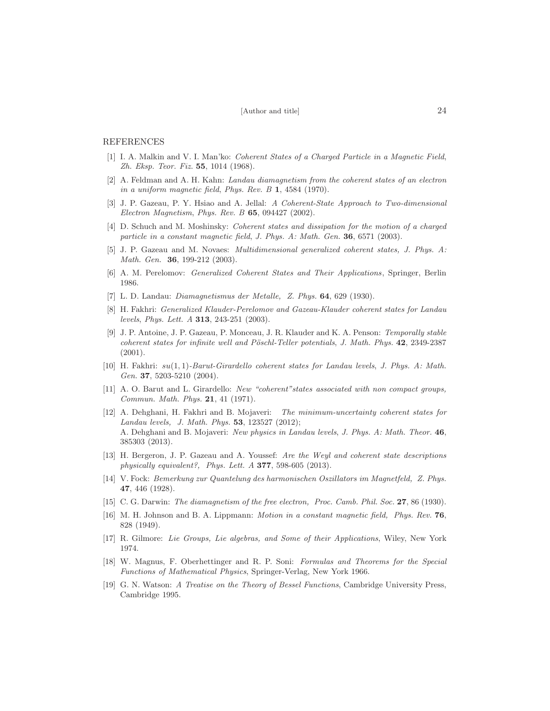### <span id="page-23-0"></span>REFERENCES

- [1] I. A. Malkin and V. I. Man'ko: *Coherent States of a Charged Particle in a Magnetic Field*, *Zh. Eksp. Teor. Fiz.* 55, 1014 (1968).
- <span id="page-23-1"></span>[2] A. Feldman and A. H. Kahn: *Landau diamagnetism from the coherent states of an electron in a uniform magnetic field*, *Phys. Rev. B* 1, 4584 (1970).
- <span id="page-23-2"></span>[3] J. P. Gazeau, P. Y. Hsiao and A. Jellal: *A Coherent-State Approach to Two-dimensional Electron Magnetism*, *Phys. Rev. B* 65, 094427 (2002).
- <span id="page-23-3"></span>[4] D. Schuch and M. Moshinsky: *Coherent states and dissipation for the motion of a charged particle in a constant magnetic field*, *J. Phys. A: Math. Gen.* 36, 6571 (2003).
- <span id="page-23-4"></span>[5] J. P. Gazeau and M. Novaes: *Multidimensional generalized coherent states, J. Phys. A: Math. Gen.* 36, 199-212 (2003).
- <span id="page-23-6"></span><span id="page-23-5"></span>[6] A. M. Perelomov: *Generalized Coherent States and Their Applications*, Springer, Berlin 1986.
- <span id="page-23-7"></span>[7] L. D. Landau: *Diamagnetismus der Metalle, Z. Phys.* 64, 629 (1930).
- [8] H. Fakhri: *Generalized Klauder-Perelomov and Gazeau-Klauder coherent states for Landau levels*, *Phys. Lett. A* 313, 243-251 (2003).
- <span id="page-23-8"></span>[9] J. P. Antoine, J. P. Gazeau, P. Monceau, J. R. Klauder and K. A. Penson: *Temporally stable coherent states for infinite well and Pöschl-Teller potentials, J. Math. Phys.* 42, 2349-2387 (2001).
- <span id="page-23-9"></span>[10] H. Fakhri: su(1, 1)*-Barut-Girardello coherent states for Landau levels*, *J. Phys. A: Math. Gen.* 37, 5203-5210 (2004).
- <span id="page-23-10"></span>[11] A. O. Barut and L. Girardello: *New "coherent"states associated with non compact groups, Commun. Math. Phys.* 21, 41 (1971).
- <span id="page-23-11"></span>[12] A. Dehghani, H. Fakhri and B. Mojaveri: *The minimum-uncertainty coherent states for Landau levels, J. Math. Phys.* 53, 123527 (2012); A. Dehghani and B. Mojaveri: *New physics in Landau levels*, *J. Phys. A: Math. Theor.* 46, 385303 (2013).
- <span id="page-23-12"></span>[13] H. Bergeron, J. P. Gazeau and A. Youssef: *Are the Weyl and coherent state descriptions physically equivalent?, Phys. Lett. A* 377, 598-605 (2013).
- <span id="page-23-13"></span>[14] V. Fock: *Bemerkung zur Quantelung des harmonischen Oszillators im Magnetfeld, Z. Phys.* 47, 446 (1928).
- <span id="page-23-14"></span>[15] C. G. Darwin: *The diamagnetism of the free electron, Proc. Camb. Phil. Soc.* 27, 86 (1930).
- [16] M. H. Johnson and B. A. Lippmann: *Motion in a constant magnetic field, Phys. Rev.* 76, 828 (1949).
- <span id="page-23-15"></span>[17] R. Gilmore: *Lie Groups, Lie algebras, and Some of their Applications*, Wiley, New York 1974.
- <span id="page-23-16"></span>[18] W. Magnus, F. Oberhettinger and R. P. Soni: *Formulas and Theorems for the Special Functions of Mathematical Physics*, Springer-Verlag, New York 1966.
- <span id="page-23-17"></span>[19] G. N. Watson: *A Treatise on the Theory of Bessel Functions*, Cambridge University Press, Cambridge 1995.